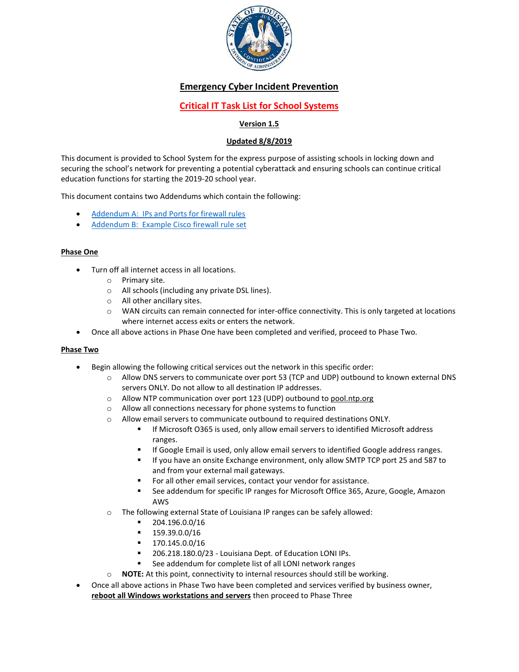

# Emergency Cyber Incident Prevention

# Critical IT Task List for School Systems

## Version 1.5

## Updated 8/8/2019

This document is provided to School System for the express purpose of assisting schools in locking down and securing the school's network for preventing a potential cyberattack and ensuring schools can continue critical education functions for starting the 2019-20 school year.

This document contains two Addendums which contain the following:

- Addendum A: IPs and Ports for firewall rules
- Addendum B: Example Cisco firewall rule set

## Phase One

- Turn off all internet access in all locations.
	- o Primary site.
	- o All schools (including any private DSL lines).
	- o All other ancillary sites.
	- $\circ$  WAN circuits can remain connected for inter-office connectivity. This is only targeted at locations where internet access exits or enters the network.
- Once all above actions in Phase One have been completed and verified, proceed to Phase Two.

## Phase Two

- Begin allowing the following critical services out the network in this specific order:
	- o Allow DNS servers to communicate over port 53 (TCP and UDP) outbound to known external DNS servers ONLY. Do not allow to all destination IP addresses.
	- o Allow NTP communication over port 123 (UDP) outbound to pool.ntp.org
	- o Allow all connections necessary for phone systems to function
	- $\circ$  Allow email servers to communicate outbound to required destinations ONLY.
		- If Microsoft O365 is used, only allow email servers to identified Microsoft address ranges.
		- If Google Email is used, only allow email servers to identified Google address ranges.
		- If you have an onsite Exchange environment, only allow SMTP TCP port 25 and 587 to and from your external mail gateways.
		- For all other email services, contact your vendor for assistance.
		- See addendum for specific IP ranges for Microsoft Office 365, Azure, Google, Amazon AWS
	- o The following external State of Louisiana IP ranges can be safely allowed:
		- 204.196.0.0/16
		- $-159.39.0.0/16$
		- $-170.145.0.0/16$
		- 206.218.180.0/23 Louisiana Dept. of Education LONI IPs.
		- See addendum for complete list of all LONI network ranges
	- $\circ$  NOTE: At this point, connectivity to internal resources should still be working.
- Once all above actions in Phase Two have been completed and services verified by business owner, reboot all Windows workstations and servers then proceed to Phase Three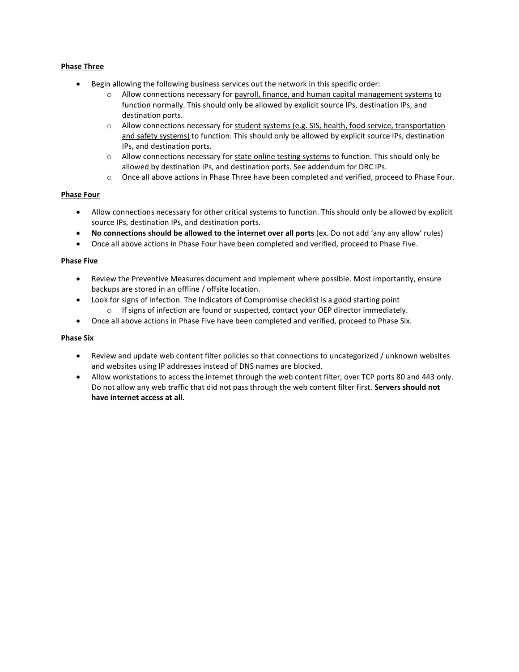## Phase Three

- Begin allowing the following business services out the network in this specific order:
	- $\circ$  Allow connections necessary for payroll, finance, and human capital management systems to function normally. This should only be allowed by explicit source IPs, destination IPs, and destination ports.
	- o Allow connections necessary for student systems (e.g. SIS, health, food service, transportation and safety systems) to function. This should only be allowed by explicit source IPs, destination IPs, and destination ports.
	- $\circ$  Allow connections necessary for state online testing systems to function. This should only be allowed by destination IPs, and destination ports. See addendum for DRC IPs.
	- o Once all above actions in Phase Three have been completed and verified, proceed to Phase Four.

#### Phase Four

- Allow connections necessary for other critical systems to function. This should only be allowed by explicit source IPs, destination IPs, and destination ports.
- No connections should be allowed to the internet over all ports (ex. Do not add 'any any allow' rules)
- Once all above actions in Phase Four have been completed and verified, proceed to Phase Five.

#### Phase Five

- Review the Preventive Measures document and implement where possible. Most importantly, ensure backups are stored in an offline / offsite location.
- Look for signs of infection. The Indicators of Compromise checklist is a good starting point
	- $\circ$  If signs of infection are found or suspected, contact your OEP director immediately.
- Once all above actions in Phase Five have been completed and verified, proceed to Phase Six.

#### Phase Six

- Review and update web content filter policies so that connections to uncategorized / unknown websites and websites using IP addresses instead of DNS names are blocked.
- Allow workstations to access the internet through the web content filter, over TCP ports 80 and 443 only. Do not allow any web traffic that did not pass through the web content filter first. Servers should not have internet access at all.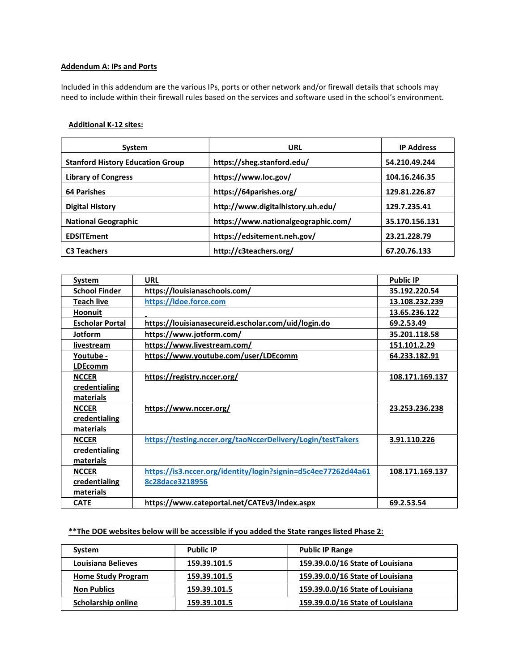### Addendum A: IPs and Ports

Included in this addendum are the various IPs, ports or other network and/or firewall details that schools may need to include within their firewall rules based on the services and software used in the school's environment.

## Additional K-12 sites:

| System                                  | URL                                 | <b>IP Address</b> |
|-----------------------------------------|-------------------------------------|-------------------|
| <b>Stanford History Education Group</b> | https://sheg.stanford.edu/          | 54.210.49.244     |
| <b>Library of Congress</b>              | https://www.loc.gov/                | 104.16.246.35     |
| <b>64 Parishes</b>                      | https://64parishes.org/             | 129.81.226.87     |
| <b>Digital History</b>                  | http://www.digitalhistory.uh.edu/   | 129.7.235.41      |
| <b>National Geographic</b>              | https://www.nationalgeographic.com/ | 35.170.156.131    |
| <b>EDSITEment</b>                       | https://edsitement.neh.gov/         | 23.21.228.79      |
| <b>C3 Teachers</b>                      | http://c3teachers.org/              | 67.20.76.133      |

| System                 | <b>URL</b>                                                    | <b>Public IP</b> |
|------------------------|---------------------------------------------------------------|------------------|
| <b>School Finder</b>   | https://louisianaschools.com/                                 | 35.192.220.54    |
| <b>Teach live</b>      | https://ldoe.force.com                                        | 13.108.232.239   |
| Hoonuit                |                                                               | 13.65.236.122    |
| <b>Escholar Portal</b> | https://louisianasecureid.escholar.com/uid/login.do           | 69.2.53.49       |
| Jotform                | https://www.jotform.com/                                      | 35.201.118.58    |
| livestream             | https://www.livestream.com/                                   | 151.101.2.29     |
| Youtube -              | https://www.youtube.com/user/LDEcomm                          | 64.233.182.91    |
| <b>LDEcomm</b>         |                                                               |                  |
| <b>NCCER</b>           | https://registry.nccer.org/                                   | 108.171.169.137  |
| credentialing          |                                                               |                  |
| materials              |                                                               |                  |
| <b>NCCER</b>           | https://www.nccer.org/                                        | 23.253.236.238   |
| credentialing          |                                                               |                  |
| materials              |                                                               |                  |
| <b>NCCER</b>           | https://testing.nccer.org/taoNccerDelivery/Login/testTakers   | 3.91.110.226     |
| credentialing          |                                                               |                  |
| materials              |                                                               |                  |
| <b>NCCER</b>           | https://is3.nccer.org/identity/login?signin=d5c4ee77262d44a61 | 108.171.169.137  |
| credentialing          | 8c28dace3218956                                               |                  |
| materials              |                                                               |                  |
| <b>CATE</b>            | https://www.cateportal.net/CATEv3/Index.aspx                  | 69.2.53.54       |

## \*\* The DOE websites below will be accessible if you added the State ranges listed Phase 2:

| System                    | <b>Public IP</b> | <b>Public IP Range</b>           |
|---------------------------|------------------|----------------------------------|
| Louisiana Believes        | 159.39.101.5     | 159.39.0.0/16 State of Louisiana |
| <b>Home Study Program</b> | 159.39.101.5     | 159.39.0.0/16 State of Louisiana |
| <b>Non Publics</b>        | 159.39.101.5     | 159.39.0.0/16 State of Louisiana |
| Scholarship online        | 159.39.101.5     | 159.39.0.0/16 State of Louisiana |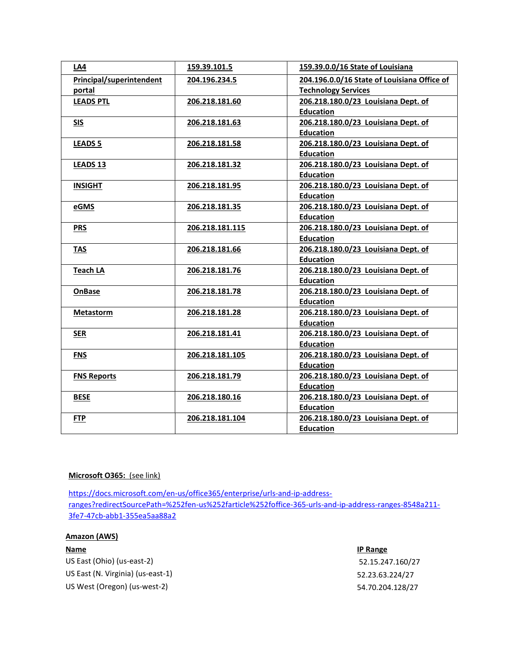| LA4                      | 159.39.101.5    | 159.39.0.0/16 State of Louisiana            |
|--------------------------|-----------------|---------------------------------------------|
| Principal/superintendent | 204.196.234.5   | 204.196.0.0/16 State of Louisiana Office of |
| portal                   |                 | <b>Technology Services</b>                  |
| <b>LEADS PTL</b>         | 206.218.181.60  | 206.218.180.0/23 Louisiana Dept. of         |
|                          |                 | <b>Education</b>                            |
| <b>SIS</b>               | 206.218.181.63  | 206.218.180.0/23 Louisiana Dept. of         |
|                          |                 | <b>Education</b>                            |
| <b>LEADS 5</b>           | 206.218.181.58  | 206.218.180.0/23 Louisiana Dept. of         |
|                          |                 | <b>Education</b>                            |
| <b>LEADS 13</b>          | 206.218.181.32  | 206.218.180.0/23 Louisiana Dept. of         |
|                          |                 | <b>Education</b>                            |
| <b>INSIGHT</b>           | 206.218.181.95  | 206.218.180.0/23 Louisiana Dept. of         |
|                          |                 | <b>Education</b>                            |
| eGMS                     | 206.218.181.35  | 206.218.180.0/23 Louisiana Dept. of         |
|                          |                 | <b>Education</b>                            |
| <b>PRS</b>               | 206.218.181.115 | 206.218.180.0/23 Louisiana Dept. of         |
|                          |                 | <b>Education</b>                            |
| TAS                      | 206.218.181.66  | 206.218.180.0/23 Louisiana Dept. of         |
|                          |                 | <b>Education</b>                            |
| <b>Teach LA</b>          | 206.218.181.76  | 206.218.180.0/23 Louisiana Dept. of         |
|                          |                 | <b>Education</b>                            |
| <b>OnBase</b>            | 206.218.181.78  | 206.218.180.0/23 Louisiana Dept. of         |
|                          |                 | <b>Education</b>                            |
| <b>Metastorm</b>         | 206.218.181.28  | 206.218.180.0/23 Louisiana Dept. of         |
|                          |                 | <b>Education</b>                            |
| <b>SER</b>               | 206.218.181.41  | 206.218.180.0/23 Louisiana Dept. of         |
|                          |                 | <b>Education</b>                            |
| <b>FNS</b>               | 206.218.181.105 | 206.218.180.0/23 Louisiana Dept. of         |
|                          |                 | <b>Education</b>                            |
| <b>FNS Reports</b>       | 206.218.181.79  | 206.218.180.0/23 Louisiana Dept. of         |
|                          |                 | <b>Education</b>                            |
| <b>BESE</b>              | 206.218.180.16  | 206.218.180.0/23 Louisiana Dept. of         |
|                          |                 | <b>Education</b>                            |
| <b>FTP</b>               | 206.218.181.104 | 206.218.180.0/23 Louisiana Dept. of         |
|                          |                 | <b>Education</b>                            |

## Microsoft O365: (see link)

https://docs.microsoft.com/en-us/office365/enterprise/urls-and-ip-addressranges?redirectSourcePath=%252fen-us%252farticle%252foffice-365-urls-and-ip-address-ranges-8548a211- 3fe7-47cb-abb1-355ea5aa88a2

## Amazon (AWS)

US East (Ohio) (us-east-2) 52.15.247.160/27 US East (N. Virginia) (us-east-1) 52.23.63.224/27 US West (Oregon) (us-west-2) 54.70.204.128/27

#### **Name IP Range**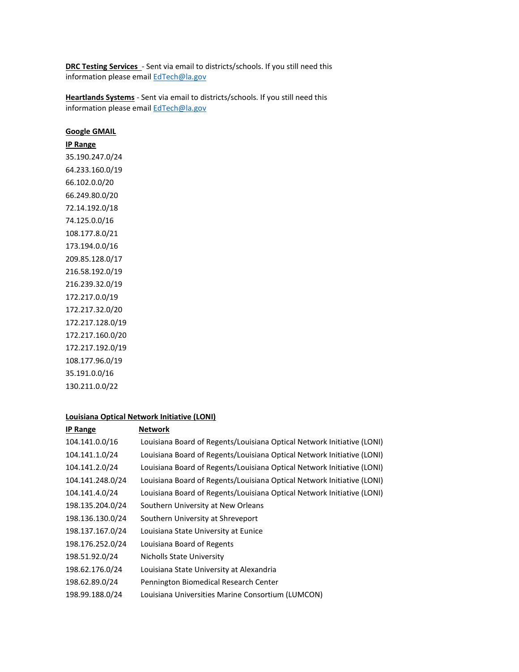DRC Testing Services - Sent via email to districts/schools. If you still need this information please email EdTech@la.gov

Heartlands Systems - Sent via email to districts/schools. If you still need this information please email EdTech@la.gov

#### Google GMAIL

## IP Range

35.190.247.0/24 64.233.160.0/19 66.102.0.0/20 66.249.80.0/20 72.14.192.0/18 74.125.0.0/16 108.177.8.0/21 173.194.0.0/16 209.85.128.0/17 216.58.192.0/19 216.239.32.0/19 172.217.0.0/19 172.217.32.0/20 172.217.128.0/19 172.217.160.0/20 172.217.192.0/19 108.177.96.0/19 35.191.0.0/16 130.211.0.0/22

#### Louisiana Optical Network Initiative (LONI)

| <b>IP Range</b>  | <b>Network</b>                                                         |
|------------------|------------------------------------------------------------------------|
| 104.141.0.0/16   | Louisiana Board of Regents/Louisiana Optical Network Initiative (LONI) |
| 104.141.1.0/24   | Louisiana Board of Regents/Louisiana Optical Network Initiative (LONI) |
| 104.141.2.0/24   | Louisiana Board of Regents/Louisiana Optical Network Initiative (LONI) |
| 104.141.248.0/24 | Louisiana Board of Regents/Louisiana Optical Network Initiative (LONI) |
| 104.141.4.0/24   | Louisiana Board of Regents/Louisiana Optical Network Initiative (LONI) |
| 198.135.204.0/24 | Southern University at New Orleans                                     |
| 198.136.130.0/24 | Southern University at Shreveport                                      |
| 198.137.167.0/24 | Louisiana State University at Eunice                                   |
| 198.176.252.0/24 | Louisiana Board of Regents                                             |
| 198.51.92.0/24   | Nicholls State University                                              |
| 198.62.176.0/24  | Louisiana State University at Alexandria                               |
| 198.62.89.0/24   | Pennington Biomedical Research Center                                  |
| 198.99.188.0/24  | Louisiana Universities Marine Consortium (LUMCON)                      |
|                  |                                                                        |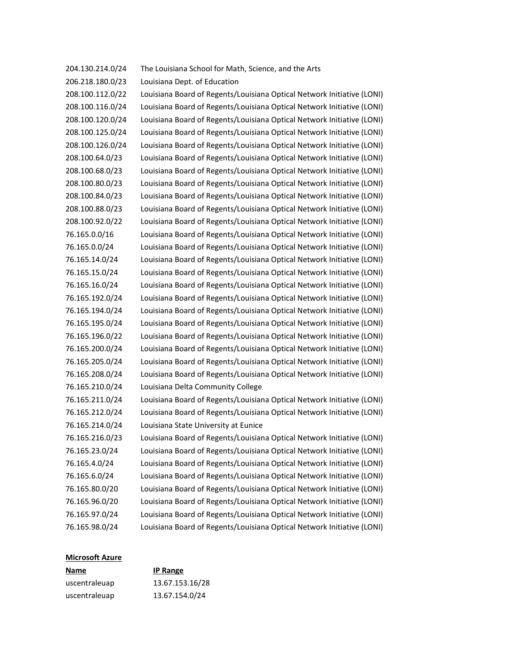| 204.130.214.0/24 | The Louisiana School for Math, Science, and the Arts                   |
|------------------|------------------------------------------------------------------------|
| 206.218.180.0/23 | Louisiana Dept. of Education                                           |
| 208.100.112.0/22 | Louisiana Board of Regents/Louisiana Optical Network Initiative (LONI) |
| 208.100.116.0/24 | Louisiana Board of Regents/Louisiana Optical Network Initiative (LONI) |
| 208.100.120.0/24 | Louisiana Board of Regents/Louisiana Optical Network Initiative (LONI) |
| 208.100.125.0/24 | Louisiana Board of Regents/Louisiana Optical Network Initiative (LONI) |
| 208.100.126.0/24 | Louisiana Board of Regents/Louisiana Optical Network Initiative (LONI) |
| 208.100.64.0/23  | Louisiana Board of Regents/Louisiana Optical Network Initiative (LONI) |
| 208.100.68.0/23  | Louisiana Board of Regents/Louisiana Optical Network Initiative (LONI) |
| 208.100.80.0/23  | Louisiana Board of Regents/Louisiana Optical Network Initiative (LONI) |
| 208.100.84.0/23  | Louisiana Board of Regents/Louisiana Optical Network Initiative (LONI) |
| 208.100.88.0/23  | Louisiana Board of Regents/Louisiana Optical Network Initiative (LONI) |
| 208.100.92.0/22  | Louisiana Board of Regents/Louisiana Optical Network Initiative (LONI) |
| 76.165.0.0/16    | Louisiana Board of Regents/Louisiana Optical Network Initiative (LONI) |
| 76.165.0.0/24    | Louisiana Board of Regents/Louisiana Optical Network Initiative (LONI) |
| 76.165.14.0/24   | Louisiana Board of Regents/Louisiana Optical Network Initiative (LONI) |
| 76.165.15.0/24   | Louisiana Board of Regents/Louisiana Optical Network Initiative (LONI) |
| 76.165.16.0/24   | Louisiana Board of Regents/Louisiana Optical Network Initiative (LONI) |
| 76.165.192.0/24  | Louisiana Board of Regents/Louisiana Optical Network Initiative (LONI) |
| 76.165.194.0/24  | Louisiana Board of Regents/Louisiana Optical Network Initiative (LONI) |
| 76.165.195.0/24  | Louisiana Board of Regents/Louisiana Optical Network Initiative (LONI) |
| 76.165.196.0/22  | Louisiana Board of Regents/Louisiana Optical Network Initiative (LONI) |
| 76.165.200.0/24  | Louisiana Board of Regents/Louisiana Optical Network Initiative (LONI) |
| 76.165.205.0/24  | Louisiana Board of Regents/Louisiana Optical Network Initiative (LONI) |
| 76.165.208.0/24  | Louisiana Board of Regents/Louisiana Optical Network Initiative (LONI) |
| 76.165.210.0/24  | Louisiana Delta Community College                                      |
| 76.165.211.0/24  | Louisiana Board of Regents/Louisiana Optical Network Initiative (LONI) |
| 76.165.212.0/24  | Louisiana Board of Regents/Louisiana Optical Network Initiative (LONI) |
| 76.165.214.0/24  | Louisiana State University at Eunice                                   |
| 76.165.216.0/23  | Louisiana Board of Regents/Louisiana Optical Network Initiative (LONI) |
| 76.165.23.0/24   | Louisiana Board of Regents/Louisiana Optical Network Initiative (LONI) |
| 76.165.4.0/24    | Louisiana Board of Regents/Louisiana Optical Network Initiative (LONI) |
| 76.165.6.0/24    | Louisiana Board of Regents/Louisiana Optical Network Initiative (LONI) |
| 76.165.80.0/20   | Louisiana Board of Regents/Louisiana Optical Network Initiative (LONI) |
| 76.165.96.0/20   | Louisiana Board of Regents/Louisiana Optical Network Initiative (LONI) |
| 76.165.97.0/24   | Louisiana Board of Regents/Louisiana Optical Network Initiative (LONI) |
| 76.165.98.0/24   | Louisiana Board of Regents/Louisiana Optical Network Initiative (LONI) |

# Microsoft Azure

| Name          | <b>IP Range</b> |
|---------------|-----------------|
| uscentraleuap | 13.67.153.16/28 |
| uscentraleuap | 13.67.154.0/24  |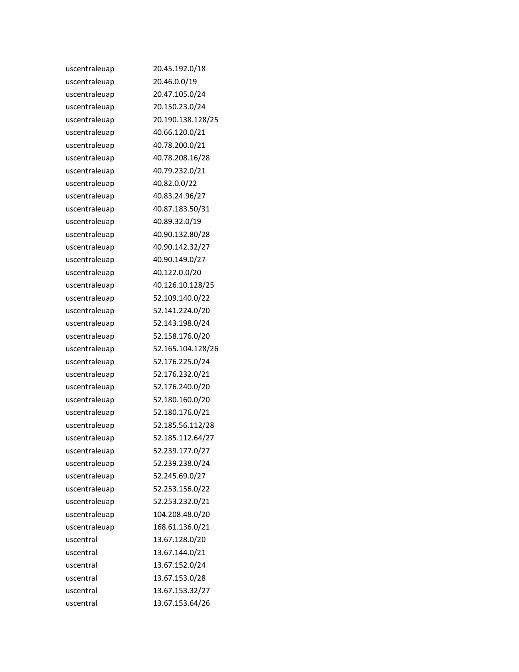| uscentraleuap | 20.45.192.0/18    |
|---------------|-------------------|
| uscentraleuap | 20.46.0.0/19      |
| uscentraleuap | 20.47.105.0/24    |
| uscentraleuap | 20.150.23.0/24    |
| uscentraleuap | 20.190.138.128/25 |
| uscentraleuap | 40.66.120.0/21    |
| uscentraleuap | 40.78.200.0/21    |
| uscentraleuap | 40.78.208.16/28   |
| uscentraleuap | 40.79.232.0/21    |
| uscentraleuap | 40.82.0.0/22      |
| uscentraleuap | 40.83.24.96/27    |
| uscentraleuap | 40.87.183.50/31   |
| uscentraleuap | 40.89.32.0/19     |
| uscentraleuap | 40.90.132.80/28   |
| uscentraleuap | 40.90.142.32/27   |
| uscentraleuap | 40.90.149.0/27    |
| uscentraleuap | 40.122.0.0/20     |
| uscentraleuap | 40.126.10.128/25  |
| uscentraleuap | 52.109.140.0/22   |
| uscentraleuap | 52.141.224.0/20   |
| uscentraleuap | 52.143.198.0/24   |
| uscentraleuap | 52.158.176.0/20   |
| uscentraleuap | 52.165.104.128/26 |
| uscentraleuap | 52.176.225.0/24   |
| uscentraleuap | 52.176.232.0/21   |
| uscentraleuap | 52.176.240.0/20   |
| uscentraleuap | 52.180.160.0/20   |
| uscentraleuap | 52.180.176.0/21   |
| uscentraleuap | 52.185.56.112/28  |
| uscentraleuap | 52.185.112.64/27  |
| uscentraleuap | 52.239.177.0/27   |
| uscentraleuap | 52.239.238.0/24   |
| uscentraleuap | 52.245.69.0/27    |
| uscentraleuap | 52.253.156.0/22   |
| uscentraleuap | 52.253.232.0/21   |
| uscentraleuap | 104.208.48.0/20   |
| uscentraleuap | 168.61.136.0/21   |
| uscentral     | 13.67.128.0/20    |
| uscentral     | 13.67.144.0/21    |
| uscentral     | 13.67.152.0/24    |
| uscentral     | 13.67.153.0/28    |
| uscentral     | 13.67.153.32/27   |
| uscentral     | 13.67.153.64/26   |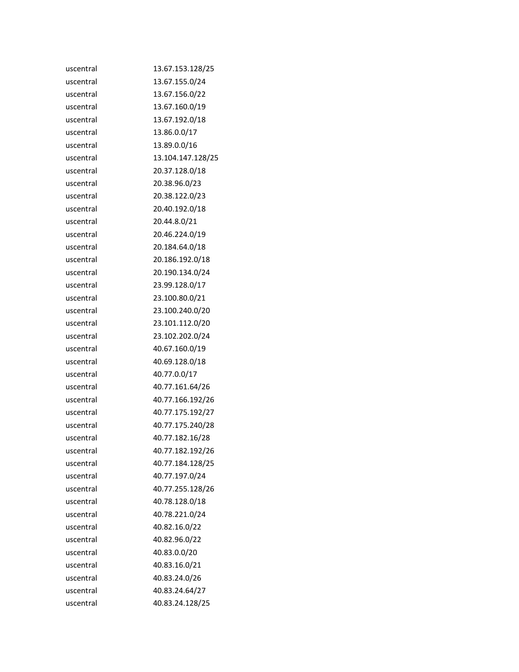| uscentral | 13.67.153.128/25  |
|-----------|-------------------|
| uscentral | 13.67.155.0/24    |
| uscentral | 13.67.156.0/22    |
| uscentral | 13.67.160.0/19    |
| uscentral | 13.67.192.0/18    |
| uscentral | 13.86.0.0/17      |
| uscentral | 13.89.0.0/16      |
| uscentral | 13.104.147.128/25 |
| uscentral | 20.37.128.0/18    |
| uscentral | 20.38.96.0/23     |
| uscentral | 20.38.122.0/23    |
| uscentral | 20.40.192.0/18    |
| uscentral | 20.44.8.0/21      |
| uscentral | 20.46.224.0/19    |
| uscentral | 20.184.64.0/18    |
| uscentral | 20.186.192.0/18   |
| uscentral | 20.190.134.0/24   |
| uscentral | 23.99.128.0/17    |
| uscentral | 23.100.80.0/21    |
| uscentral | 23.100.240.0/20   |
| uscentral | 23.101.112.0/20   |
| uscentral | 23.102.202.0/24   |
| uscentral | 40.67.160.0/19    |
| uscentral | 40.69.128.0/18    |
| uscentral | 40.77.0.0/17      |
| uscentral | 40.77.161.64/26   |
| uscentral | 40.77.166.192/26  |
| uscentral | 40.77.175.192/27  |
| uscentral | 40.77.175.240/28  |
| uscentral | 40.77.182.16/28   |
| uscentral | 40.77.182.192/26  |
| uscentral | 40.77.184.128/25  |
| uscentral | 40.77.197.0/24    |
| uscentral | 40.77.255.128/26  |
| uscentral | 40.78.128.0/18    |
| uscentral | 40.78.221.0/24    |
| uscentral | 40.82.16.0/22     |
| uscentral | 40.82.96.0/22     |
| uscentral | 40.83.0.0/20      |
| uscentral | 40.83.16.0/21     |
| uscentral | 40.83.24.0/26     |
| uscentral | 40.83.24.64/27    |
| uscentral | 40.83.24.128/25   |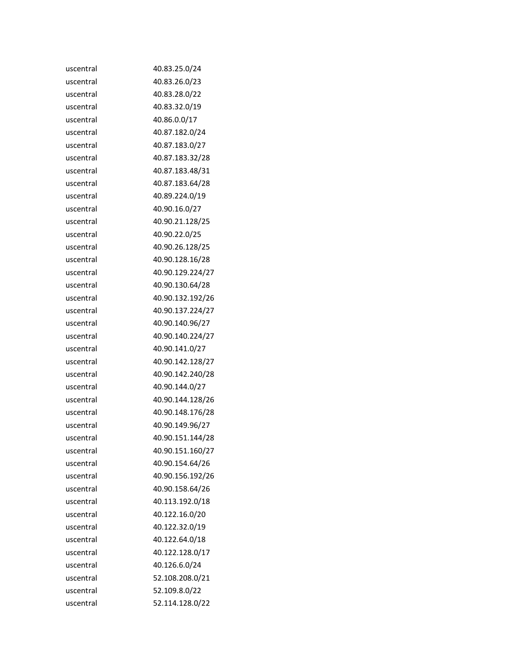| uscentral | 40.83.25.0/24    |
|-----------|------------------|
| uscentral | 40.83.26.0/23    |
| uscentral | 40.83.28.0/22    |
| uscentral | 40.83.32.0/19    |
| uscentral | 40.86.0.0/17     |
| uscentral | 40.87.182.0/24   |
| uscentral | 40.87.183.0/27   |
| uscentral | 40.87.183.32/28  |
| uscentral | 40.87.183.48/31  |
| uscentral | 40.87.183.64/28  |
| uscentral | 40.89.224.0/19   |
| uscentral | 40.90.16.0/27    |
| uscentral | 40.90.21.128/25  |
| uscentral | 40.90.22.0/25    |
| uscentral | 40.90.26.128/25  |
| uscentral | 40.90.128.16/28  |
| uscentral | 40.90.129.224/27 |
| uscentral | 40.90.130.64/28  |
| uscentral | 40.90.132.192/26 |
| uscentral | 40.90.137.224/27 |
| uscentral | 40.90.140.96/27  |
| uscentral | 40.90.140.224/27 |
| uscentral | 40.90.141.0/27   |
| uscentral | 40.90.142.128/27 |
| uscentral | 40.90.142.240/28 |
| uscentral | 40.90.144.0/27   |
| uscentral | 40.90.144.128/26 |
| uscentral | 40.90.148.176/28 |
| uscentral | 40.90.149.96/27  |
| uscentral | 40.90.151.144/28 |
| uscentral | 40.90.151.160/27 |
| uscentral | 40.90.154.64/26  |
| uscentral | 40.90.156.192/26 |
| uscentral | 40.90.158.64/26  |
| uscentral | 40.113.192.0/18  |
| uscentral | 40.122.16.0/20   |
| uscentral | 40.122.32.0/19   |
| uscentral | 40.122.64.0/18   |
| uscentral | 40.122.128.0/17  |
| uscentral | 40.126.6.0/24    |
| uscentral | 52.108.208.0/21  |
| uscentral | 52.109.8.0/22    |
| uscentral | 52.114.128.0/22  |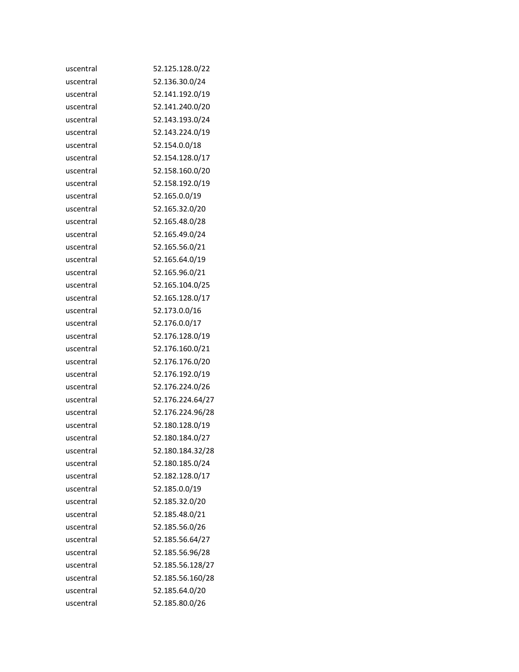| uscentral | 52.125.128.0/22  |
|-----------|------------------|
| uscentral | 52.136.30.0/24   |
| uscentral | 52.141.192.0/19  |
| uscentral | 52.141.240.0/20  |
| uscentral | 52.143.193.0/24  |
| uscentral | 52.143.224.0/19  |
| uscentral | 52.154.0.0/18    |
| uscentral | 52.154.128.0/17  |
| uscentral | 52.158.160.0/20  |
| uscentral | 52.158.192.0/19  |
| uscentral | 52.165.0.0/19    |
| uscentral | 52.165.32.0/20   |
| uscentral | 52.165.48.0/28   |
| uscentral | 52.165.49.0/24   |
| uscentral | 52.165.56.0/21   |
| uscentral | 52.165.64.0/19   |
| uscentral | 52.165.96.0/21   |
| uscentral | 52.165.104.0/25  |
| uscentral | 52.165.128.0/17  |
| uscentral | 52.173.0.0/16    |
| uscentral | 52.176.0.0/17    |
| uscentral | 52.176.128.0/19  |
| uscentral | 52.176.160.0/21  |
| uscentral | 52.176.176.0/20  |
| uscentral | 52.176.192.0/19  |
| uscentral | 52.176.224.0/26  |
| uscentral | 52.176.224.64/27 |
| uscentral | 52.176.224.96/28 |
| uscentral | 52.180.128.0/19  |
| uscentral | 52.180.184.0/27  |
| uscentral | 52.180.184.32/28 |
| uscentral | 52.180.185.0/24  |
| uscentral | 52.182.128.0/17  |
| uscentral | 52.185.0.0/19    |
| uscentral | 52.185.32.0/20   |
| uscentral | 52.185.48.0/21   |
| uscentral | 52.185.56.0/26   |
| uscentral | 52.185.56.64/27  |
| uscentral | 52.185.56.96/28  |
| uscentral | 52.185.56.128/27 |
| uscentral | 52.185.56.160/28 |
| uscentral | 52.185.64.0/20   |
| uscentral | 52.185.80.0/26   |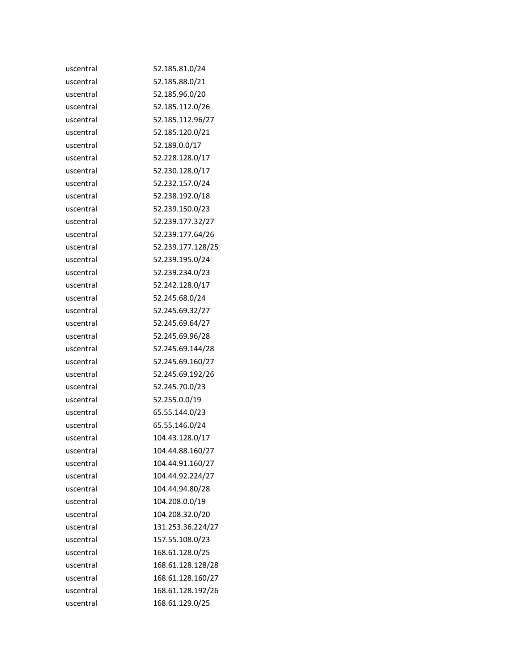| uscentral | 52.185.81.0/24    |
|-----------|-------------------|
| uscentral | 52.185.88.0/21    |
| uscentral | 52.185.96.0/20    |
| uscentral | 52.185.112.0/26   |
| uscentral | 52.185.112.96/27  |
| uscentral | 52.185.120.0/21   |
| uscentral | 52.189.0.0/17     |
| uscentral | 52.228.128.0/17   |
| uscentral | 52.230.128.0/17   |
| uscentral | 52.232.157.0/24   |
| uscentral | 52.238.192.0/18   |
| uscentral | 52.239.150.0/23   |
| uscentral | 52.239.177.32/27  |
| uscentral | 52.239.177.64/26  |
| uscentral | 52.239.177.128/25 |
| uscentral | 52.239.195.0/24   |
| uscentral | 52.239.234.0/23   |
| uscentral | 52.242.128.0/17   |
| uscentral | 52.245.68.0/24    |
| uscentral | 52.245.69.32/27   |
| uscentral | 52.245.69.64/27   |
| uscentral | 52.245.69.96/28   |
| uscentral | 52.245.69.144/28  |
| uscentral | 52.245.69.160/27  |
| uscentral | 52.245.69.192/26  |
| uscentral | 52.245.70.0/23    |
| uscentral | 52.255.0.0/19     |
| uscentral | 65.55.144.0/23    |
| uscentral | 65.55.146.0/24    |
| uscentral | 104.43.128.0/17   |
| uscentral | 104.44.88.160/27  |
| uscentral | 104.44.91.160/27  |
| uscentral | 104.44.92.224/27  |
| uscentral | 104.44.94.80/28   |
| uscentral | 104.208.0.0/19    |
| uscentral | 104.208.32.0/20   |
| uscentral | 131.253.36.224/27 |
| uscentral | 157.55.108.0/23   |
| uscentral | 168.61.128.0/25   |
| uscentral | 168.61.128.128/28 |
| uscentral | 168.61.128.160/27 |
| uscentral | 168.61.128.192/26 |
| uscentral | 168.61.129.0/25   |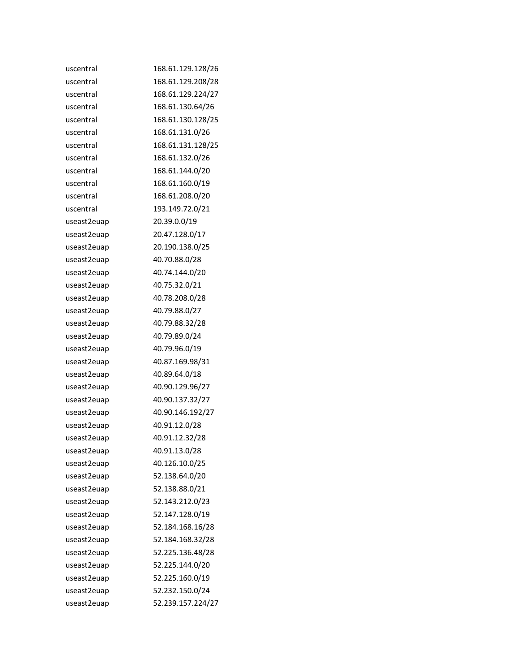| uscentral   | 168.61.129.128/26 |
|-------------|-------------------|
| uscentral   | 168.61.129.208/28 |
| uscentral   | 168.61.129.224/27 |
| uscentral   | 168.61.130.64/26  |
| uscentral   | 168.61.130.128/25 |
| uscentral   | 168.61.131.0/26   |
| uscentral   | 168.61.131.128/25 |
| uscentral   | 168.61.132.0/26   |
| uscentral   | 168.61.144.0/20   |
| uscentral   | 168.61.160.0/19   |
| uscentral   | 168.61.208.0/20   |
| uscentral   | 193.149.72.0/21   |
| useast2euap | 20.39.0.0/19      |
| useast2euap | 20.47.128.0/17    |
| useast2euap | 20.190.138.0/25   |
| useast2euap | 40.70.88.0/28     |
| useast2euap | 40.74.144.0/20    |
| useast2euap | 40.75.32.0/21     |
| useast2euap | 40.78.208.0/28    |
| useast2euap | 40.79.88.0/27     |
| useast2euap | 40.79.88.32/28    |
| useast2euap | 40.79.89.0/24     |
| useast2euap | 40.79.96.0/19     |
| useast2euap | 40.87.169.98/31   |
| useast2euap | 40.89.64.0/18     |
| useast2euap | 40.90.129.96/27   |
| useast2euap | 40.90.137.32/27   |
| useast2euap | 40.90.146.192/27  |
| useast2euap | 40.91.12.0/28     |
| useast2euap | 40.91.12.32/28    |
| useast2euap | 40.91.13.0/28     |
| useast2euap | 40.126.10.0/25    |
| useast2euap | 52.138.64.0/20    |
| useast2euap | 52.138.88.0/21    |
| useast2euap | 52.143.212.0/23   |
| useast2euap | 52.147.128.0/19   |
| useast2euap | 52.184.168.16/28  |
| useast2euap | 52.184.168.32/28  |
| useast2euap | 52.225.136.48/28  |
| useast2euap | 52.225.144.0/20   |
| useast2euap | 52.225.160.0/19   |
| useast2euap | 52.232.150.0/24   |
| useast2euap | 52.239.157.224/27 |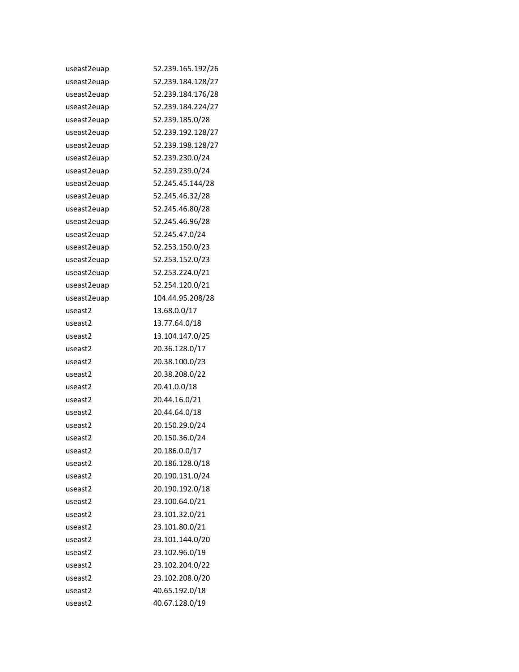| useast2euap | 52.239.165.192/26 |
|-------------|-------------------|
| useast2euap | 52.239.184.128/27 |
| useast2euap | 52.239.184.176/28 |
| useast2euap | 52.239.184.224/27 |
| useast2euap | 52.239.185.0/28   |
| useast2euap | 52.239.192.128/27 |
| useast2euap | 52.239.198.128/27 |
| useast2euap | 52.239.230.0/24   |
| useast2euap | 52.239.239.0/24   |
| useast2euap | 52.245.45.144/28  |
| useast2euap | 52.245.46.32/28   |
| useast2euap | 52.245.46.80/28   |
| useast2euap | 52.245.46.96/28   |
| useast2euap | 52.245.47.0/24    |
| useast2euap | 52.253.150.0/23   |
| useast2euap | 52.253.152.0/23   |
| useast2euap | 52.253.224.0/21   |
| useast2euap | 52.254.120.0/21   |
| useast2euap | 104.44.95.208/28  |
| useast2     | 13.68.0.0/17      |
| useast2     | 13.77.64.0/18     |
| useast2     | 13.104.147.0/25   |
| useast2     | 20.36.128.0/17    |
| useast2     | 20.38.100.0/23    |
| useast2     | 20.38.208.0/22    |
| useast2     | 20.41.0.0/18      |
| useast2     | 20.44.16.0/21     |
| useast2     | 20.44.64.0/18     |
| useast2     | 20.150.29.0/24    |
| useast2     | 20.150.36.0/24    |
| useast2     | 20.186.0.0/17     |
| useast2     | 20.186.128.0/18   |
| useast2     | 20.190.131.0/24   |
| useast2     | 20.190.192.0/18   |
| useast2     | 23.100.64.0/21    |
| useast2     | 23.101.32.0/21    |
| useast2     | 23.101.80.0/21    |
| useast2     | 23.101.144.0/20   |
| useast2     | 23.102.96.0/19    |
| useast2     | 23.102.204.0/22   |
| useast2     | 23.102.208.0/20   |
| useast2     | 40.65.192.0/18    |
| useast2     | 40.67.128.0/19    |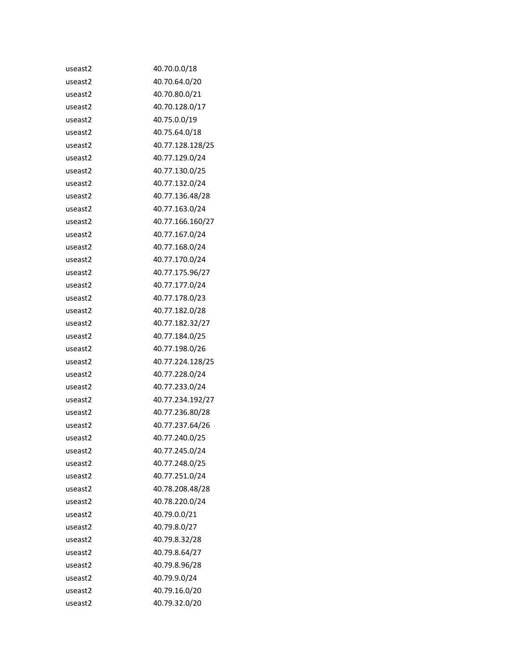| useast2 | 40.70.0.0/18     |
|---------|------------------|
| useast2 | 40.70.64.0/20    |
| useast2 | 40.70.80.0/21    |
| useast2 | 40.70.128.0/17   |
| useast2 | 40.75.0.0/19     |
| useast2 | 40.75.64.0/18    |
| useast2 | 40.77.128.128/25 |
| useast2 | 40.77.129.0/24   |
| useast2 | 40.77.130.0/25   |
| useast2 | 40.77.132.0/24   |
| useast2 | 40.77.136.48/28  |
| useast2 | 40.77.163.0/24   |
| useast2 | 40.77.166.160/27 |
| useast2 | 40.77.167.0/24   |
| useast2 | 40.77.168.0/24   |
| useast2 | 40.77.170.0/24   |
| useast2 | 40.77.175.96/27  |
| useast2 | 40.77.177.0/24   |
| useast2 | 40.77.178.0/23   |
| useast2 | 40.77.182.0/28   |
| useast2 | 40.77.182.32/27  |
| useast2 | 40.77.184.0/25   |
| useast2 | 40.77.198.0/26   |
| useast2 | 40.77.224.128/25 |
| useast2 | 40.77.228.0/24   |
| useast2 | 40.77.233.0/24   |
| useast2 | 40.77.234.192/27 |
| useast2 | 40.77.236.80/28  |
| useast2 | 40.77.237.64/26  |
| useast2 | 40.77.240.0/25   |
| useast2 | 40.77.245.0/24   |
| useast2 | 40.77.248.0/25   |
| useast2 | 40.77.251.0/24   |
| useast2 | 40.78.208.48/28  |
| useast2 | 40.78.220.0/24   |
| useast2 | 40.79.0.0/21     |
| useast2 | 40.79.8.0/27     |
| useast2 | 40.79.8.32/28    |
| useast2 | 40.79.8.64/27    |
| useast2 | 40.79.8.96/28    |
| useast2 | 40.79.9.0/24     |
| useast2 | 40.79.16.0/20    |
| useast2 | 40.79.32.0/20    |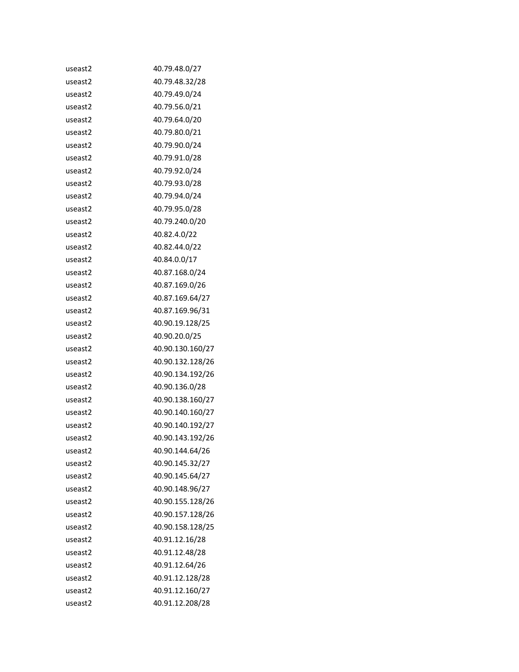| useast2             | 40.79.48.0/27    |
|---------------------|------------------|
| useast2             | 40.79.48.32/28   |
| useast2             | 40.79.49.0/24    |
| useast2             | 40.79.56.0/21    |
| useast2             | 40.79.64.0/20    |
| useast2             | 40.79.80.0/21    |
| useast2             | 40.79.90.0/24    |
| useast2             | 40.79.91.0/28    |
| useast2             | 40.79.92.0/24    |
| useast2             | 40.79.93.0/28    |
| useast2             | 40.79.94.0/24    |
| useast2             | 40.79.95.0/28    |
| useast2             | 40.79.240.0/20   |
| useast2             | 40.82.4.0/22     |
| useast2             | 40.82.44.0/22    |
| useast2             | 40.84.0.0/17     |
| useast2             | 40.87.168.0/24   |
| useast2             | 40.87.169.0/26   |
| useast2             | 40.87.169.64/27  |
| useast2             | 40.87.169.96/31  |
| useast2             | 40.90.19.128/25  |
| useast2             | 40.90.20.0/25    |
| useast2             | 40.90.130.160/27 |
| useast2             | 40.90.132.128/26 |
| useast2             | 40.90.134.192/26 |
| useast2             | 40.90.136.0/28   |
| useast <sub>2</sub> | 40.90.138.160/27 |
| useast2             | 40.90.140.160/27 |
| useast2             | 40.90.140.192/27 |
| useast2             | 40.90.143.192/26 |
| useast2             | 40.90.144.64/26  |
| useast2             | 40.90.145.32/27  |
| useast2             | 40.90.145.64/27  |
| useast2             | 40.90.148.96/27  |
| useast2             | 40.90.155.128/26 |
| useast2             | 40.90.157.128/26 |
| useast2             | 40.90.158.128/25 |
| useast2             | 40.91.12.16/28   |
| useast2             | 40.91.12.48/28   |
| useast2             | 40.91.12.64/26   |
| useast2             | 40.91.12.128/28  |
| useast2             | 40.91.12.160/27  |
| useast <sub>2</sub> | 40.91.12.208/28  |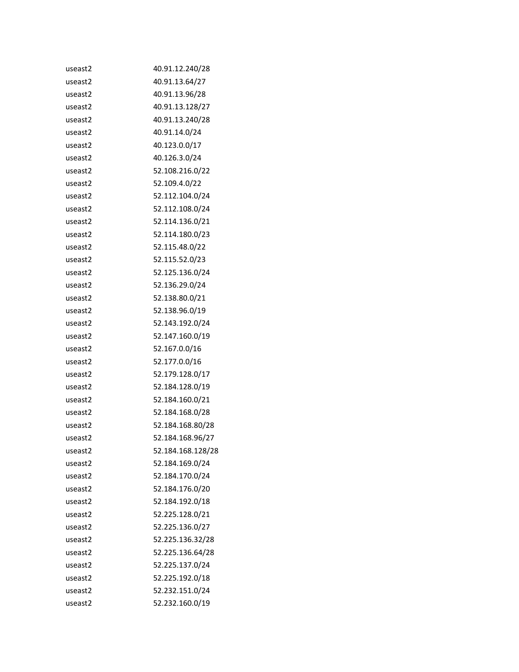| useast2             | 40.91.12.240/28   |
|---------------------|-------------------|
| useast2             | 40.91.13.64/27    |
| useast <sub>2</sub> | 40.91.13.96/28    |
| useast2             | 40.91.13.128/27   |
| useast2             | 40.91.13.240/28   |
| useast2             | 40.91.14.0/24     |
| useast <sub>2</sub> | 40.123.0.0/17     |
| useast2             | 40.126.3.0/24     |
| useast2             | 52.108.216.0/22   |
| useast2             | 52.109.4.0/22     |
| useast <sub>2</sub> | 52.112.104.0/24   |
| useast2             | 52.112.108.0/24   |
| useast2             | 52.114.136.0/21   |
| useast2             | 52.114.180.0/23   |
| useast <sub>2</sub> | 52.115.48.0/22    |
| useast2             | 52.115.52.0/23    |
| useast2             | 52.125.136.0/24   |
| useast2             | 52.136.29.0/24    |
| useast <sub>2</sub> | 52.138.80.0/21    |
| useast2             | 52.138.96.0/19    |
| useast2             | 52.143.192.0/24   |
| useast2             | 52.147.160.0/19   |
| useast <sub>2</sub> | 52.167.0.0/16     |
| useast2             | 52.177.0.0/16     |
| useast2             | 52.179.128.0/17   |
| useast2             | 52.184.128.0/19   |
| useast <sub>2</sub> | 52.184.160.0/21   |
| useast2             | 52.184.168.0/28   |
| useast2             | 52.184.168.80/28  |
| useast2             | 52.184.168.96/27  |
| useast2             | 52.184.168.128/28 |
| useast2             | 52.184.169.0/24   |
| useast2             | 52.184.170.0/24   |
| useast2             | 52.184.176.0/20   |
| useast2             | 52.184.192.0/18   |
| useast2             | 52.225.128.0/21   |
| useast2             | 52.225.136.0/27   |
| useast2             | 52.225.136.32/28  |
| useast2             | 52.225.136.64/28  |
| useast2             | 52.225.137.0/24   |
| useast2             | 52.225.192.0/18   |
| useast2             | 52.232.151.0/24   |
| useast2             | 52.232.160.0/19   |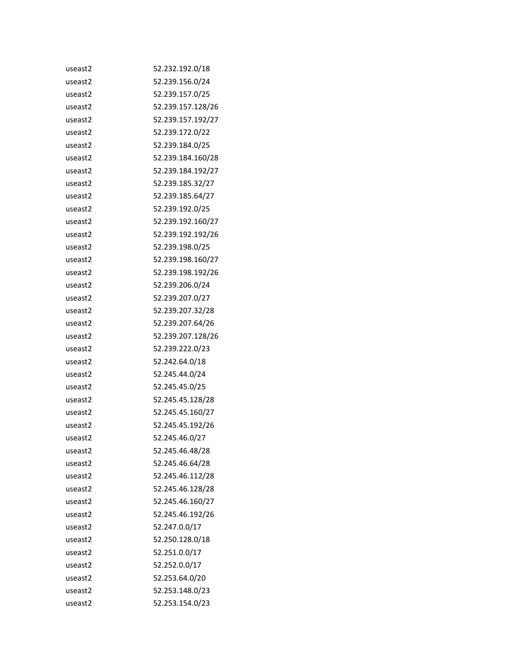| useast2             | 52.232.192.0/18   |
|---------------------|-------------------|
| useast2             | 52.239.156.0/24   |
| useast <sub>2</sub> | 52.239.157.0/25   |
| useast2             | 52.239.157.128/26 |
| useast <sub>2</sub> | 52.239.157.192/27 |
| useast2             | 52.239.172.0/22   |
| useast <sub>2</sub> | 52.239.184.0/25   |
| useast2             | 52.239.184.160/28 |
| useast2             | 52.239.184.192/27 |
| useast2             | 52.239.185.32/27  |
| useast <sub>2</sub> | 52.239.185.64/27  |
| useast2             | 52.239.192.0/25   |
| useast <sub>2</sub> | 52.239.192.160/27 |
| useast2             | 52.239.192.192/26 |
| useast2             | 52.239.198.0/25   |
| useast2             | 52.239.198.160/27 |
| useast2             | 52.239.198.192/26 |
| useast2             | 52.239.206.0/24   |
| useast2             | 52.239.207.0/27   |
| useast2             | 52.239.207.32/28  |
| useast <sub>2</sub> | 52.239.207.64/26  |
| useast2             | 52.239.207.128/26 |
| useast <sub>2</sub> | 52.239.222.0/23   |
| useast2             | 52.242.64.0/18    |
| useast2             | 52.245.44.0/24    |
| useast2             | 52.245.45.0/25    |
| useast <sub>2</sub> | 52.245.45.128/28  |
| useast2             | 52.245.45.160/27  |
| useast <sub>2</sub> | 52.245.45.192/26  |
| useast2             | 52.245.46.0/27    |
| useast2             | 52.245.46.48/28   |
| useast2             | 52.245.46.64/28   |
| useast2             | 52.245.46.112/28  |
| useast2             | 52.245.46.128/28  |
| useast2             | 52.245.46.160/27  |
| useast2             | 52.245.46.192/26  |
| useast2             | 52.247.0.0/17     |
| useast2             | 52.250.128.0/18   |
| useast2             | 52.251.0.0/17     |
| useast2             | 52.252.0.0/17     |
| useast2             | 52.253.64.0/20    |
| useast2             | 52.253.148.0/23   |
| useast2             | 52.253.154.0/23   |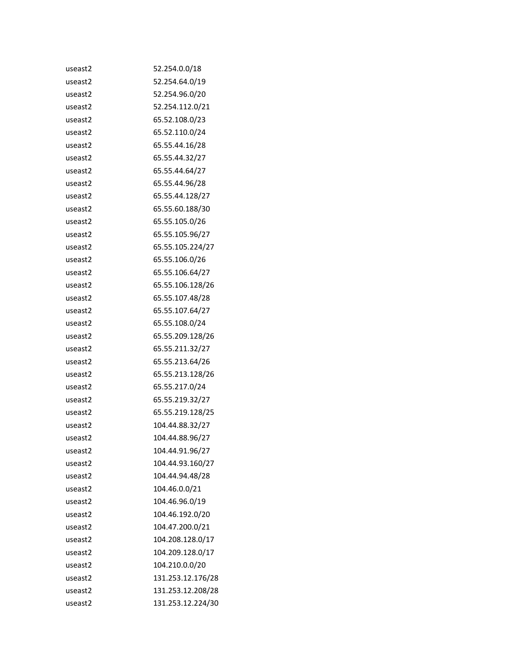| useast2 | 52.254.0.0/18     |
|---------|-------------------|
| useast2 | 52.254.64.0/19    |
| useast2 | 52.254.96.0/20    |
| useast2 | 52.254.112.0/21   |
| useast2 | 65.52.108.0/23    |
| useast2 | 65.52.110.0/24    |
| useast2 | 65.55.44.16/28    |
| useast2 | 65.55.44.32/27    |
| useast2 | 65.55.44.64/27    |
| useast2 | 65.55.44.96/28    |
| useast2 | 65.55.44.128/27   |
| useast2 | 65.55.60.188/30   |
| useast2 | 65.55.105.0/26    |
| useast2 | 65.55.105.96/27   |
| useast2 | 65.55.105.224/27  |
| useast2 | 65.55.106.0/26    |
| useast2 | 65.55.106.64/27   |
| useast2 | 65.55.106.128/26  |
| useast2 | 65.55.107.48/28   |
| useast2 | 65.55.107.64/27   |
| useast2 | 65.55.108.0/24    |
| useast2 | 65.55.209.128/26  |
| useast2 | 65.55.211.32/27   |
| useast2 | 65.55.213.64/26   |
| useast2 | 65.55.213.128/26  |
| useast2 | 65.55.217.0/24    |
| useast2 | 65.55.219.32/27   |
| useast2 | 65.55.219.128/25  |
| useast2 | 104.44.88.32/27   |
| useast2 | 104.44.88.96/27   |
| useast2 | 104.44.91.96/27   |
| useast2 | 104.44.93.160/27  |
| useast2 | 104.44.94.48/28   |
| useast2 | 104.46.0.0/21     |
| useast2 | 104.46.96.0/19    |
| useast2 | 104.46.192.0/20   |
| useast2 | 104.47.200.0/21   |
| useast2 | 104.208.128.0/17  |
| useast2 | 104.209.128.0/17  |
| useast2 | 104.210.0.0/20    |
| useast2 | 131.253.12.176/28 |
| useast2 | 131.253.12.208/28 |
| useast2 | 131.253.12.224/30 |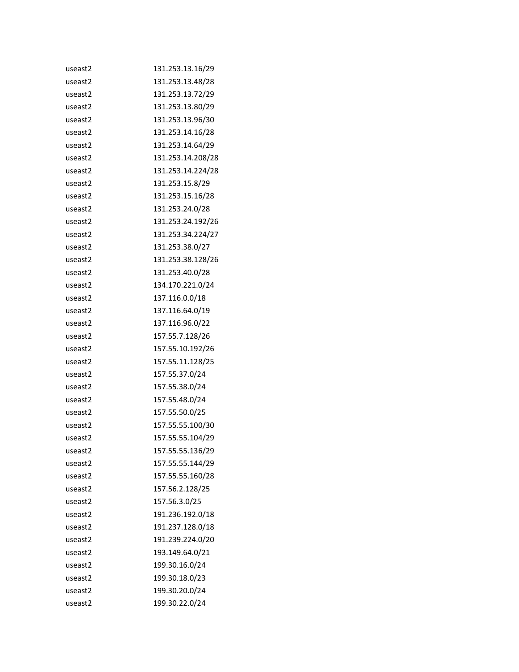| useast2             | 131.253.13.16/29  |
|---------------------|-------------------|
| useast2             | 131.253.13.48/28  |
| useast <sub>2</sub> | 131.253.13.72/29  |
| useast2             | 131.253.13.80/29  |
| useast2             | 131.253.13.96/30  |
| useast2             | 131.253.14.16/28  |
| useast2             | 131.253.14.64/29  |
| useast2             | 131.253.14.208/28 |
| useast2             | 131.253.14.224/28 |
| useast2             | 131.253.15.8/29   |
| useast2             | 131.253.15.16/28  |
| useast2             | 131.253.24.0/28   |
| useast2             | 131.253.24.192/26 |
| useast2             | 131.253.34.224/27 |
| useast2             | 131.253.38.0/27   |
| useast2             | 131.253.38.128/26 |
| useast2             | 131.253.40.0/28   |
| useast2             | 134.170.221.0/24  |
| useast2             | 137.116.0.0/18    |
| useast2             | 137.116.64.0/19   |
| useast2             | 137.116.96.0/22   |
| useast2             | 157.55.7.128/26   |
| useast2             | 157.55.10.192/26  |
| useast2             | 157.55.11.128/25  |
| useast2             | 157.55.37.0/24    |
| useast2             | 157.55.38.0/24    |
| useast2             | 157.55.48.0/24    |
| useast2             | 157.55.50.0/25    |
| useast2             | 157.55.55.100/30  |
| useast2             | 157.55.55.104/29  |
| useast2             | 157.55.55.136/29  |
| useast2             | 157.55.55.144/29  |
| useast2             | 157.55.55.160/28  |
| useast2             | 157.56.2.128/25   |
| useast2             | 157.56.3.0/25     |
| useast2             | 191.236.192.0/18  |
| useast2             | 191.237.128.0/18  |
| useast2             | 191.239.224.0/20  |
| useast2             | 193.149.64.0/21   |
| useast2             | 199.30.16.0/24    |
| useast2             | 199.30.18.0/23    |
| useast2             | 199.30.20.0/24    |
| useast2             | 199.30.22.0/24    |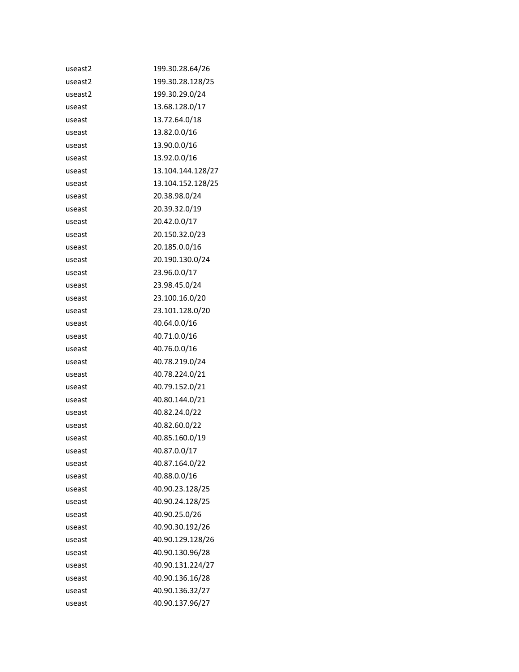| useast2 | 199.30.28.64/26   |
|---------|-------------------|
| useast2 | 199.30.28.128/25  |
| useast2 | 199.30.29.0/24    |
| useast  | 13.68.128.0/17    |
| useast  | 13.72.64.0/18     |
| useast  | 13.82.0.0/16      |
| useast  | 13.90.0.0/16      |
| useast  | 13.92.0.0/16      |
| useast  | 13.104.144.128/27 |
| useast  | 13.104.152.128/25 |
| useast  | 20.38.98.0/24     |
| useast  | 20.39.32.0/19     |
| useast  | 20.42.0.0/17      |
| useast  | 20.150.32.0/23    |
| useast  | 20.185.0.0/16     |
| useast  | 20.190.130.0/24   |
| useast  | 23.96.0.0/17      |
| useast  | 23.98.45.0/24     |
| useast  | 23.100.16.0/20    |
| useast  | 23.101.128.0/20   |
| useast  | 40.64.0.0/16      |
| useast  | 40.71.0.0/16      |
| useast  | 40.76.0.0/16      |
| useast  | 40.78.219.0/24    |
| useast  | 40.78.224.0/21    |
| useast  | 40.79.152.0/21    |
| useast  | 40.80.144.0/21    |
| useast  | 40.82.24.0/22     |
| useast  | 40.82.60.0/22     |
| useast  | 40.85.160.0/19    |
| useast  | 40.87.0.0/17      |
| useast  | 40.87.164.0/22    |
| useast  | 40.88.0.0/16      |
| useast  | 40.90.23.128/25   |
| useast  | 40.90.24.128/25   |
| useast  | 40.90.25.0/26     |
| useast  | 40.90.30.192/26   |
| useast  | 40.90.129.128/26  |
| useast  | 40.90.130.96/28   |
| useast  | 40.90.131.224/27  |
| useast  | 40.90.136.16/28   |
| useast  | 40.90.136.32/27   |
| useast  | 40.90.137.96/27   |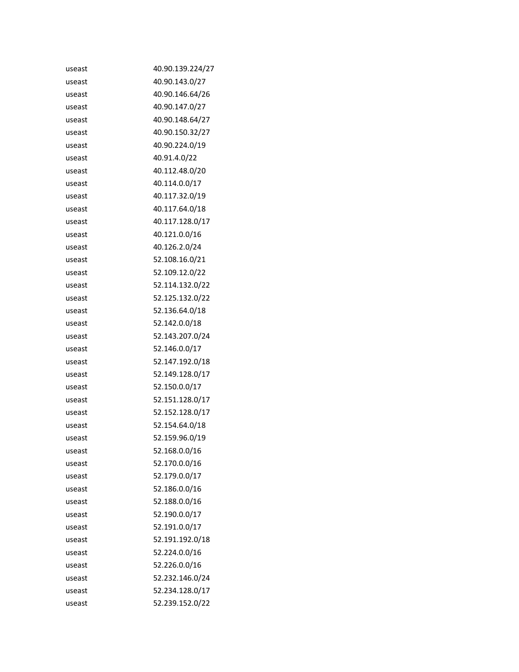| useast | 40.90.139.224/27 |
|--------|------------------|
| useast | 40.90.143.0/27   |
| useast | 40.90.146.64/26  |
| useast | 40.90.147.0/27   |
| useast | 40.90.148.64/27  |
| useast | 40.90.150.32/27  |
| useast | 40.90.224.0/19   |
| useast | 40.91.4.0/22     |
| useast | 40.112.48.0/20   |
| useast | 40.114.0.0/17    |
| useast | 40.117.32.0/19   |
| useast | 40.117.64.0/18   |
| useast | 40.117.128.0/17  |
| useast | 40.121.0.0/16    |
| useast | 40.126.2.0/24    |
| useast | 52.108.16.0/21   |
| useast | 52.109.12.0/22   |
| useast | 52.114.132.0/22  |
| useast | 52.125.132.0/22  |
| useast | 52.136.64.0/18   |
| useast | 52.142.0.0/18    |
| useast | 52.143.207.0/24  |
| useast | 52.146.0.0/17    |
| useast | 52.147.192.0/18  |
| useast | 52.149.128.0/17  |
| useast | 52.150.0.0/17    |
| useast | 52.151.128.0/17  |
| useast | 52.152.128.0/17  |
| useast | 52.154.64.0/18   |
| useast | 52.159.96.0/19   |
| useast | 52.168.0.0/16    |
| useast | 52.170.0.0/16    |
| useast | 52.179.0.0/17    |
| useast | 52.186.0.0/16    |
| useast | 52.188.0.0/16    |
| useast | 52.190.0.0/17    |
| useast | 52.191.0.0/17    |
| useast | 52.191.192.0/18  |
| useast | 52.224.0.0/16    |
| useast | 52.226.0.0/16    |
| useast | 52.232.146.0/24  |
| useast | 52.234.128.0/17  |
| useast | 52.239.152.0/22  |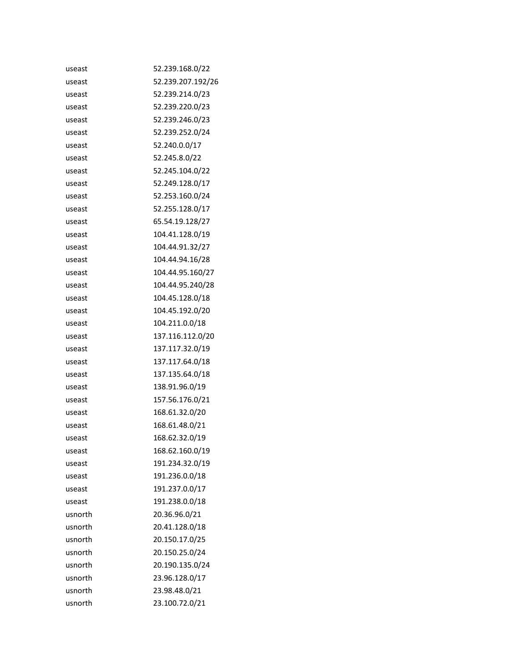| useast  | 52.239.168.0/22   |
|---------|-------------------|
| useast  | 52.239.207.192/26 |
| useast  | 52.239.214.0/23   |
| useast  | 52.239.220.0/23   |
| useast  | 52.239.246.0/23   |
| useast  | 52.239.252.0/24   |
| useast  | 52.240.0.0/17     |
| useast  | 52.245.8.0/22     |
| useast  | 52.245.104.0/22   |
| useast  | 52.249.128.0/17   |
| useast  | 52.253.160.0/24   |
| useast  | 52.255.128.0/17   |
| useast  | 65.54.19.128/27   |
| useast  | 104.41.128.0/19   |
| useast  | 104.44.91.32/27   |
| useast  | 104.44.94.16/28   |
| useast  | 104.44.95.160/27  |
| useast  | 104.44.95.240/28  |
| useast  | 104.45.128.0/18   |
| useast  | 104.45.192.0/20   |
| useast  | 104.211.0.0/18    |
| useast  | 137.116.112.0/20  |
| useast  | 137.117.32.0/19   |
| useast  | 137.117.64.0/18   |
| useast  | 137.135.64.0/18   |
| useast  | 138.91.96.0/19    |
| useast  | 157.56.176.0/21   |
| useast  | 168.61.32.0/20    |
| useast  | 168.61.48.0/21    |
| useast  | 168.62.32.0/19    |
| useast  | 168.62.160.0/19   |
| useast  | 191.234.32.0/19   |
| useast  | 191.236.0.0/18    |
| useast  | 191.237.0.0/17    |
| useast  | 191.238.0.0/18    |
| usnorth | 20.36.96.0/21     |
| usnorth | 20.41.128.0/18    |
| usnorth | 20.150.17.0/25    |
| usnorth | 20.150.25.0/24    |
| usnorth | 20.190.135.0/24   |
| usnorth | 23.96.128.0/17    |
| usnorth | 23.98.48.0/21     |
| usnorth | 23.100.72.0/21    |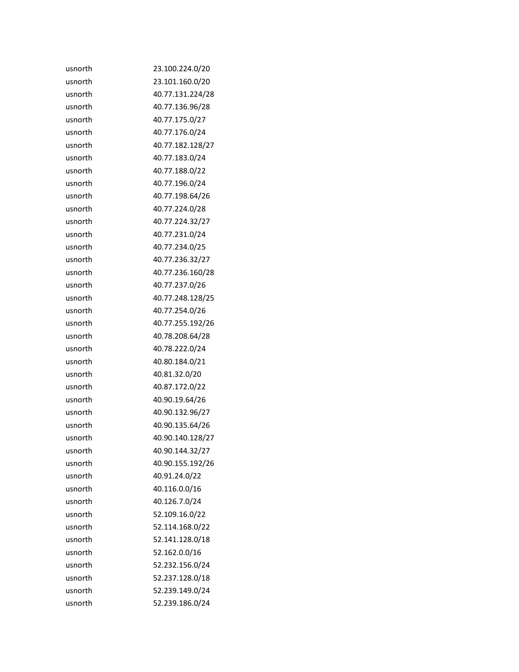| usnorth | 23.100.224.0/20  |
|---------|------------------|
| usnorth | 23.101.160.0/20  |
| usnorth | 40.77.131.224/28 |
| usnorth | 40.77.136.96/28  |
| usnorth | 40.77.175.0/27   |
| usnorth | 40.77.176.0/24   |
| usnorth | 40.77.182.128/27 |
| usnorth | 40.77.183.0/24   |
| usnorth | 40.77.188.0/22   |
| usnorth | 40.77.196.0/24   |
| usnorth | 40.77.198.64/26  |
| usnorth | 40.77.224.0/28   |
| usnorth | 40.77.224.32/27  |
| usnorth | 40.77.231.0/24   |
| usnorth | 40.77.234.0/25   |
| usnorth | 40.77.236.32/27  |
| usnorth | 40.77.236.160/28 |
| usnorth | 40.77.237.0/26   |
| usnorth | 40.77.248.128/25 |
| usnorth | 40.77.254.0/26   |
| usnorth | 40.77.255.192/26 |
| usnorth | 40.78.208.64/28  |
| usnorth | 40.78.222.0/24   |
| usnorth | 40.80.184.0/21   |
| usnorth | 40.81.32.0/20    |
| usnorth | 40.87.172.0/22   |
| usnorth | 40.90.19.64/26   |
| usnorth | 40.90.132.96/27  |
| usnorth | 40.90.135.64/26  |
| usnorth | 40.90.140.128/27 |
| usnorth | 40.90.144.32/27  |
| usnorth | 40.90.155.192/26 |
| usnorth | 40.91.24.0/22    |
| usnorth | 40.116.0.0/16    |
| usnorth | 40.126.7.0/24    |
| usnorth | 52.109.16.0/22   |
| usnorth | 52.114.168.0/22  |
| usnorth | 52.141.128.0/18  |
| usnorth | 52.162.0.0/16    |
| usnorth | 52.232.156.0/24  |
| usnorth | 52.237.128.0/18  |
| usnorth | 52.239.149.0/24  |
| usnorth | 52.239.186.0/24  |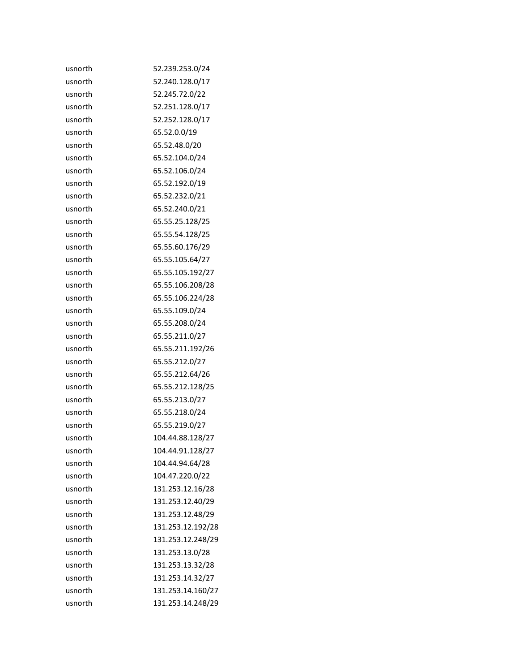| usnorth | 52.239.253.0/24   |
|---------|-------------------|
| usnorth | 52.240.128.0/17   |
| usnorth | 52.245.72.0/22    |
| usnorth | 52.251.128.0/17   |
| usnorth | 52.252.128.0/17   |
| usnorth | 65.52.0.0/19      |
| usnorth | 65.52.48.0/20     |
| usnorth | 65.52.104.0/24    |
| usnorth | 65.52.106.0/24    |
| usnorth | 65.52.192.0/19    |
| usnorth | 65.52.232.0/21    |
| usnorth | 65.52.240.0/21    |
| usnorth | 65.55.25.128/25   |
| usnorth | 65.55.54.128/25   |
| usnorth | 65.55.60.176/29   |
| usnorth | 65.55.105.64/27   |
| usnorth | 65.55.105.192/27  |
| usnorth | 65.55.106.208/28  |
| usnorth | 65.55.106.224/28  |
| usnorth | 65.55.109.0/24    |
| usnorth | 65.55.208.0/24    |
| usnorth | 65.55.211.0/27    |
| usnorth | 65.55.211.192/26  |
| usnorth | 65.55.212.0/27    |
| usnorth | 65.55.212.64/26   |
| usnorth | 65.55.212.128/25  |
| usnorth | 65.55.213.0/27    |
| usnorth | 65.55.218.0/24    |
| usnorth | 65.55.219.0/27    |
| usnorth | 104.44.88.128/27  |
| usnorth | 104.44.91.128/27  |
| usnorth | 104.44.94.64/28   |
| usnorth | 104.47.220.0/22   |
| usnorth | 131.253.12.16/28  |
| usnorth | 131.253.12.40/29  |
| usnorth | 131.253.12.48/29  |
| usnorth | 131.253.12.192/28 |
| usnorth | 131.253.12.248/29 |
| usnorth | 131.253.13.0/28   |
| usnorth | 131.253.13.32/28  |
| usnorth | 131.253.14.32/27  |
| usnorth | 131.253.14.160/27 |
| usnorth | 131.253.14.248/29 |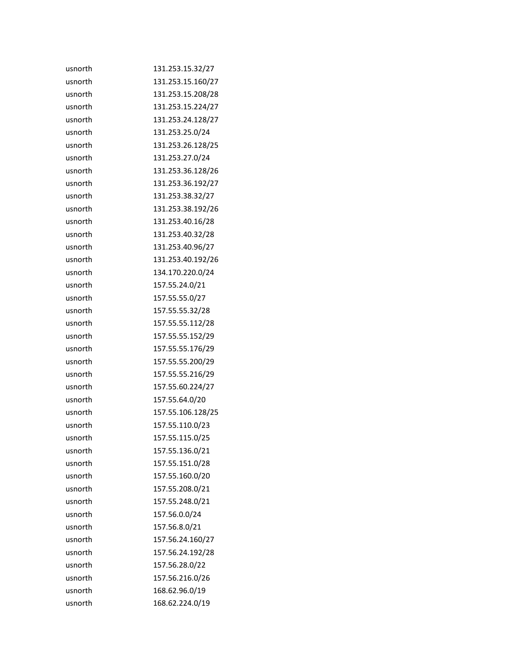| usnorth | 131.253.15.32/27  |
|---------|-------------------|
| usnorth | 131.253.15.160/27 |
| usnorth | 131.253.15.208/28 |
| usnorth | 131.253.15.224/27 |
| usnorth | 131.253.24.128/27 |
| usnorth | 131.253.25.0/24   |
| usnorth | 131.253.26.128/25 |
| usnorth | 131.253.27.0/24   |
| usnorth | 131.253.36.128/26 |
| usnorth | 131.253.36.192/27 |
| usnorth | 131.253.38.32/27  |
| usnorth | 131.253.38.192/26 |
| usnorth | 131.253.40.16/28  |
| usnorth | 131.253.40.32/28  |
| usnorth | 131.253.40.96/27  |
| usnorth | 131.253.40.192/26 |
| usnorth | 134.170.220.0/24  |
| usnorth | 157.55.24.0/21    |
| usnorth | 157.55.55.0/27    |
| usnorth | 157.55.55.32/28   |
| usnorth | 157.55.55.112/28  |
| usnorth | 157.55.55.152/29  |
| usnorth | 157.55.55.176/29  |
| usnorth | 157.55.55.200/29  |
| usnorth | 157.55.55.216/29  |
| usnorth | 157.55.60.224/27  |
| usnorth | 157.55.64.0/20    |
| usnorth | 157.55.106.128/25 |
| usnorth | 157.55.110.0/23   |
| usnorth | 157.55.115.0/25   |
| usnorth | 157.55.136.0/21   |
| usnorth | 157.55.151.0/28   |
| usnorth | 157.55.160.0/20   |
| usnorth | 157.55.208.0/21   |
| usnorth | 157.55.248.0/21   |
| usnorth | 157.56.0.0/24     |
| usnorth | 157.56.8.0/21     |
| usnorth | 157.56.24.160/27  |
| usnorth | 157.56.24.192/28  |
| usnorth | 157.56.28.0/22    |
| usnorth | 157.56.216.0/26   |
| usnorth | 168.62.96.0/19    |
| usnorth | 168.62.224.0/19   |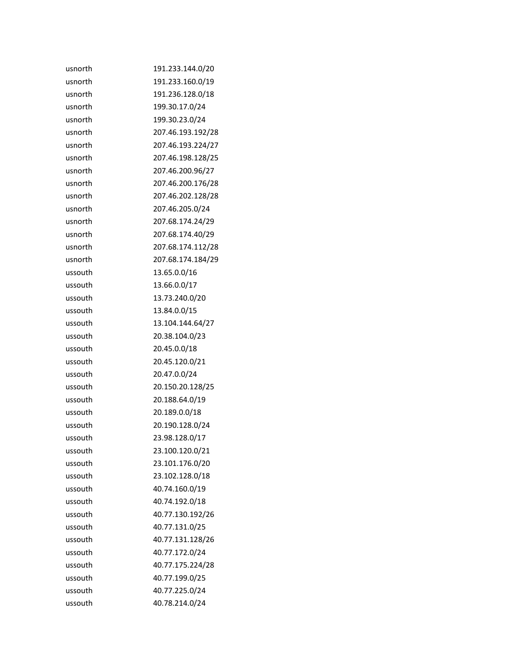| usnorth | 191.233.144.0/20  |
|---------|-------------------|
| usnorth | 191.233.160.0/19  |
| usnorth | 191.236.128.0/18  |
| usnorth | 199.30.17.0/24    |
| usnorth | 199.30.23.0/24    |
| usnorth | 207.46.193.192/28 |
| usnorth | 207.46.193.224/27 |
| usnorth | 207.46.198.128/25 |
| usnorth | 207.46.200.96/27  |
| usnorth | 207.46.200.176/28 |
| usnorth | 207.46.202.128/28 |
| usnorth | 207.46.205.0/24   |
| usnorth | 207.68.174.24/29  |
| usnorth | 207.68.174.40/29  |
| usnorth | 207.68.174.112/28 |
| usnorth | 207.68.174.184/29 |
| ussouth | 13.65.0.0/16      |
| ussouth | 13.66.0.0/17      |
| ussouth | 13.73.240.0/20    |
| ussouth | 13.84.0.0/15      |
| ussouth | 13.104.144.64/27  |
| ussouth | 20.38.104.0/23    |
| ussouth | 20.45.0.0/18      |
| ussouth | 20.45.120.0/21    |
| ussouth | 20.47.0.0/24      |
| ussouth | 20.150.20.128/25  |
| ussouth | 20.188.64.0/19    |
| ussouth | 20.189.0.0/18     |
| ussouth | 20.190.128.0/24   |
| ussouth | 23.98.128.0/17    |
| ussouth | 23.100.120.0/21   |
| ussouth | 23.101.176.0/20   |
| ussouth | 23.102.128.0/18   |
| ussouth | 40.74.160.0/19    |
| ussouth | 40.74.192.0/18    |
| ussouth | 40.77.130.192/26  |
| ussouth | 40.77.131.0/25    |
| ussouth | 40.77.131.128/26  |
| ussouth | 40.77.172.0/24    |
| ussouth | 40.77.175.224/28  |
| ussouth | 40.77.199.0/25    |
| ussouth | 40.77.225.0/24    |
| ussouth | 40.78.214.0/24    |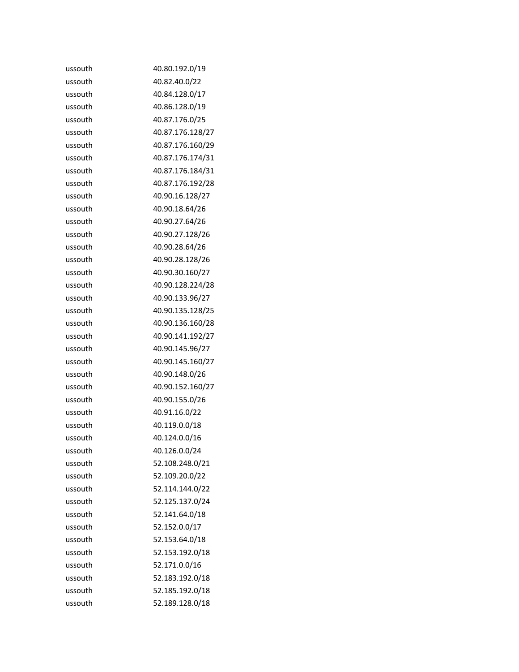| ussouth | 40.80.192.0/19   |
|---------|------------------|
| ussouth | 40.82.40.0/22    |
| ussouth | 40.84.128.0/17   |
| ussouth | 40.86.128.0/19   |
| ussouth | 40.87.176.0/25   |
| ussouth | 40.87.176.128/27 |
| ussouth | 40.87.176.160/29 |
| ussouth | 40.87.176.174/31 |
| ussouth | 40.87.176.184/31 |
| ussouth | 40.87.176.192/28 |
| ussouth | 40.90.16.128/27  |
| ussouth | 40.90.18.64/26   |
| ussouth | 40.90.27.64/26   |
| ussouth | 40.90.27.128/26  |
| ussouth | 40.90.28.64/26   |
| ussouth | 40.90.28.128/26  |
| ussouth | 40.90.30.160/27  |
| ussouth | 40.90.128.224/28 |
| ussouth | 40.90.133.96/27  |
| ussouth | 40.90.135.128/25 |
| ussouth | 40.90.136.160/28 |
| ussouth | 40.90.141.192/27 |
| ussouth | 40.90.145.96/27  |
| ussouth | 40.90.145.160/27 |
| ussouth | 40.90.148.0/26   |
| ussouth | 40.90.152.160/27 |
| ussouth | 40.90.155.0/26   |
| ussouth | 40.91.16.0/22    |
| ussouth | 40.119.0.0/18    |
| ussouth | 40.124.0.0/16    |
| ussouth | 40.126.0.0/24    |
| ussouth | 52.108.248.0/21  |
| ussouth | 52.109.20.0/22   |
| ussouth | 52.114.144.0/22  |
| ussouth | 52.125.137.0/24  |
| ussouth | 52.141.64.0/18   |
| ussouth | 52.152.0.0/17    |
| ussouth | 52.153.64.0/18   |
| ussouth | 52.153.192.0/18  |
| ussouth | 52.171.0.0/16    |
| ussouth | 52.183.192.0/18  |
| ussouth | 52.185.192.0/18  |
| ussouth | 52.189.128.0/18  |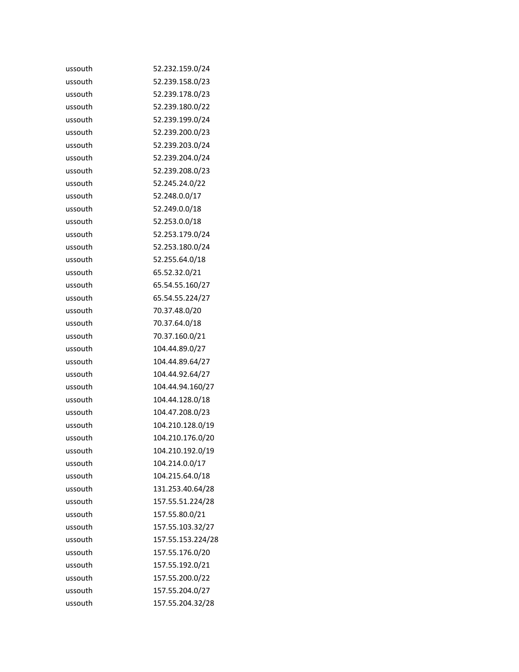| ussouth | 52.232.159.0/24   |
|---------|-------------------|
| ussouth | 52.239.158.0/23   |
| ussouth | 52.239.178.0/23   |
| ussouth | 52.239.180.0/22   |
| ussouth | 52.239.199.0/24   |
| ussouth | 52.239.200.0/23   |
| ussouth | 52.239.203.0/24   |
| ussouth | 52.239.204.0/24   |
| ussouth | 52.239.208.0/23   |
| ussouth | 52.245.24.0/22    |
| ussouth | 52.248.0.0/17     |
| ussouth | 52.249.0.0/18     |
| ussouth | 52.253.0.0/18     |
| ussouth | 52.253.179.0/24   |
| ussouth | 52.253.180.0/24   |
| ussouth | 52.255.64.0/18    |
| ussouth | 65.52.32.0/21     |
| ussouth | 65.54.55.160/27   |
| ussouth | 65.54.55.224/27   |
| ussouth | 70.37.48.0/20     |
| ussouth | 70.37.64.0/18     |
| ussouth | 70.37.160.0/21    |
| ussouth | 104.44.89.0/27    |
| ussouth | 104.44.89.64/27   |
| ussouth | 104.44.92.64/27   |
| ussouth | 104.44.94.160/27  |
| ussouth | 104.44.128.0/18   |
| ussouth | 104.47.208.0/23   |
| ussouth | 104.210.128.0/19  |
| ussouth | 104.210.176.0/20  |
| ussouth | 104.210.192.0/19  |
| ussouth | 104.214.0.0/17    |
| ussouth | 104.215.64.0/18   |
| ussouth | 131.253.40.64/28  |
| ussouth | 157.55.51.224/28  |
| ussouth | 157.55.80.0/21    |
| ussouth | 157.55.103.32/27  |
| ussouth | 157.55.153.224/28 |
| ussouth | 157.55.176.0/20   |
| ussouth | 157.55.192.0/21   |
| ussouth | 157.55.200.0/22   |
| ussouth | 157.55.204.0/27   |
| ussouth | 157.55.204.32/28  |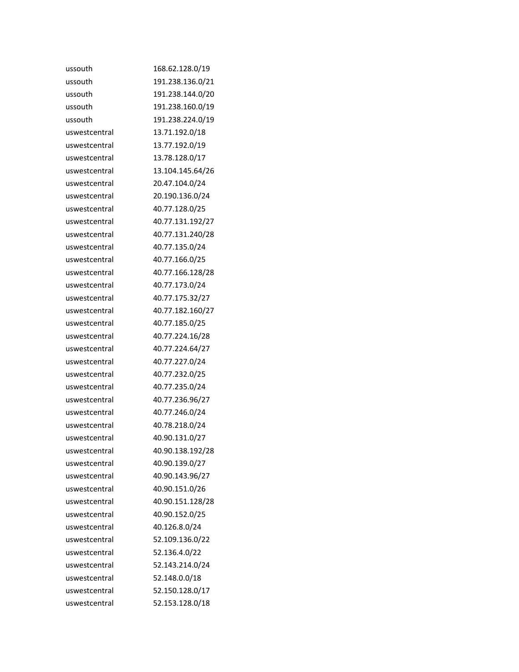| ussouth       | 168.62.128.0/19  |
|---------------|------------------|
| ussouth       | 191.238.136.0/21 |
| ussouth       | 191.238.144.0/20 |
| ussouth       | 191.238.160.0/19 |
| ussouth       | 191.238.224.0/19 |
| uswestcentral | 13.71.192.0/18   |
| uswestcentral | 13.77.192.0/19   |
| uswestcentral | 13.78.128.0/17   |
| uswestcentral | 13.104.145.64/26 |
| uswestcentral | 20.47.104.0/24   |
| uswestcentral | 20.190.136.0/24  |
| uswestcentral | 40.77.128.0/25   |
| uswestcentral | 40.77.131.192/27 |
| uswestcentral | 40.77.131.240/28 |
| uswestcentral | 40.77.135.0/24   |
| uswestcentral | 40.77.166.0/25   |
| uswestcentral | 40.77.166.128/28 |
| uswestcentral | 40.77.173.0/24   |
| uswestcentral | 40.77.175.32/27  |
| uswestcentral | 40.77.182.160/27 |
| uswestcentral | 40.77.185.0/25   |
| uswestcentral | 40.77.224.16/28  |
| uswestcentral | 40.77.224.64/27  |
| uswestcentral | 40.77.227.0/24   |
| uswestcentral | 40.77.232.0/25   |
| uswestcentral | 40.77.235.0/24   |
| uswestcentral | 40.77.236.96/27  |
| uswestcentral | 40.77.246.0/24   |
| uswestcentral | 40.78.218.0/24   |
| uswestcentral | 40.90.131.0/27   |
| uswestcentral | 40.90.138.192/28 |
| uswestcentral | 40.90.139.0/27   |
| uswestcentral | 40.90.143.96/27  |
| uswestcentral | 40.90.151.0/26   |
| uswestcentral | 40.90.151.128/28 |
| uswestcentral | 40.90.152.0/25   |
| uswestcentral | 40.126.8.0/24    |
| uswestcentral | 52.109.136.0/22  |
| uswestcentral | 52.136.4.0/22    |
| uswestcentral | 52.143.214.0/24  |
| uswestcentral | 52.148.0.0/18    |
| uswestcentral | 52.150.128.0/17  |
| uswestcentral | 52.153.128.0/18  |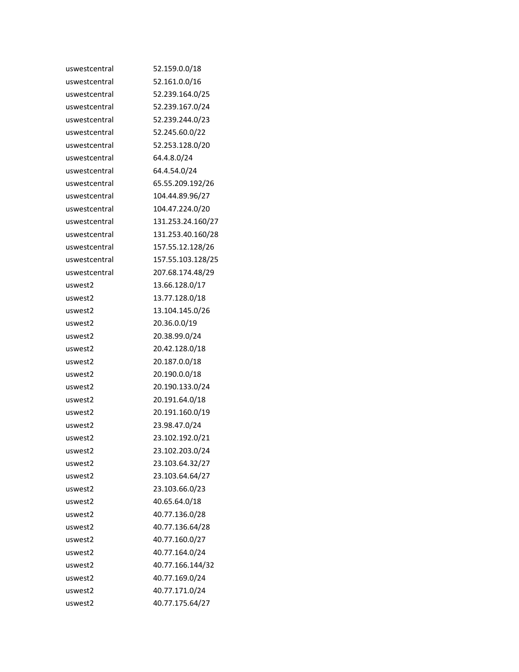| uswestcentral | 52.159.0.0/18     |
|---------------|-------------------|
| uswestcentral | 52.161.0.0/16     |
| uswestcentral | 52.239.164.0/25   |
| uswestcentral | 52.239.167.0/24   |
| uswestcentral | 52.239.244.0/23   |
| uswestcentral | 52.245.60.0/22    |
| uswestcentral | 52.253.128.0/20   |
| uswestcentral | 64.4.8.0/24       |
| uswestcentral | 64.4.54.0/24      |
| uswestcentral | 65.55.209.192/26  |
| uswestcentral | 104.44.89.96/27   |
| uswestcentral | 104.47.224.0/20   |
| uswestcentral | 131.253.24.160/27 |
| uswestcentral | 131.253.40.160/28 |
| uswestcentral | 157.55.12.128/26  |
| uswestcentral | 157.55.103.128/25 |
| uswestcentral | 207.68.174.48/29  |
| uswest2       | 13.66.128.0/17    |
| uswest2       | 13.77.128.0/18    |
| uswest2       | 13.104.145.0/26   |
| uswest2       | 20.36.0.0/19      |
| uswest2       | 20.38.99.0/24     |
| uswest2       | 20.42.128.0/18    |
| uswest2       | 20.187.0.0/18     |
| uswest2       | 20.190.0.0/18     |
| uswest2       | 20.190.133.0/24   |
| uswest2       | 20.191.64.0/18    |
| uswest2       | 20.191.160.0/19   |
| uswest2       | 23.98.47.0/24     |
| uswest2       | 23.102.192.0/21   |
| uswest2       | 23.102.203.0/24   |
| uswest2       | 23.103.64.32/27   |
| uswest2       | 23.103.64.64/27   |
| uswest2       | 23.103.66.0/23    |
| uswest2       | 40.65.64.0/18     |
| uswest2       | 40.77.136.0/28    |
| uswest2       | 40.77.136.64/28   |
| uswest2       | 40.77.160.0/27    |
| uswest2       | 40.77.164.0/24    |
| uswest2       | 40.77.166.144/32  |
| uswest2       | 40.77.169.0/24    |
| uswest2       | 40.77.171.0/24    |
| uswest2       | 40.77.175.64/27   |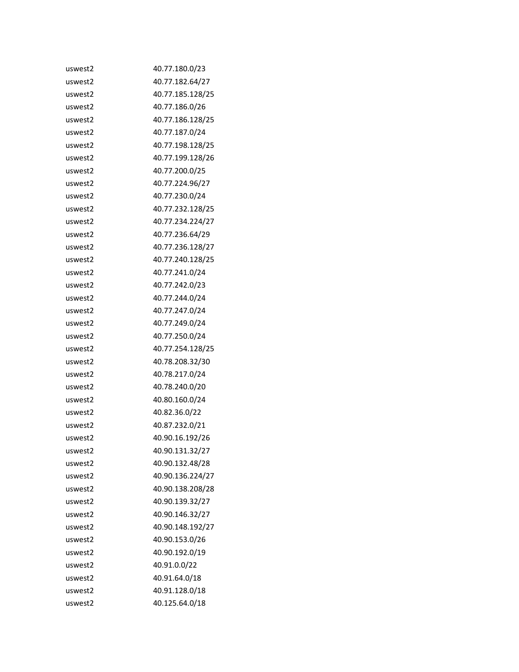| uswest2 | 40.77.180.0/23   |
|---------|------------------|
| uswest2 | 40.77.182.64/27  |
| uswest2 | 40.77.185.128/25 |
| uswest2 | 40.77.186.0/26   |
| uswest2 | 40.77.186.128/25 |
| uswest2 | 40.77.187.0/24   |
| uswest2 | 40.77.198.128/25 |
| uswest2 | 40.77.199.128/26 |
| uswest2 | 40.77.200.0/25   |
| uswest2 | 40.77.224.96/27  |
| uswest2 | 40.77.230.0/24   |
| uswest2 | 40.77.232.128/25 |
| uswest2 | 40.77.234.224/27 |
| uswest2 | 40.77.236.64/29  |
| uswest2 | 40.77.236.128/27 |
| uswest2 | 40.77.240.128/25 |
| uswest2 | 40.77.241.0/24   |
| uswest2 | 40.77.242.0/23   |
| uswest2 | 40.77.244.0/24   |
| uswest2 | 40.77.247.0/24   |
| uswest2 | 40.77.249.0/24   |
| uswest2 | 40.77.250.0/24   |
| uswest2 | 40.77.254.128/25 |
| uswest2 | 40.78.208.32/30  |
| uswest2 | 40.78.217.0/24   |
| uswest2 | 40.78.240.0/20   |
| uswest2 | 40.80.160.0/24   |
| uswest2 | 40.82.36.0/22    |
| uswest2 | 40.87.232.0/21   |
| uswest2 | 40.90.16.192/26  |
| uswest2 | 40.90.131.32/27  |
| uswest2 | 40.90.132.48/28  |
| uswest2 | 40.90.136.224/27 |
| uswest2 | 40.90.138.208/28 |
| uswest2 | 40.90.139.32/27  |
| uswest2 | 40.90.146.32/27  |
| uswest2 | 40.90.148.192/27 |
| uswest2 | 40.90.153.0/26   |
| uswest2 | 40.90.192.0/19   |
| uswest2 | 40.91.0.0/22     |
| uswest2 | 40.91.64.0/18    |
| uswest2 | 40.91.128.0/18   |
| uswest2 | 40.125.64.0/18   |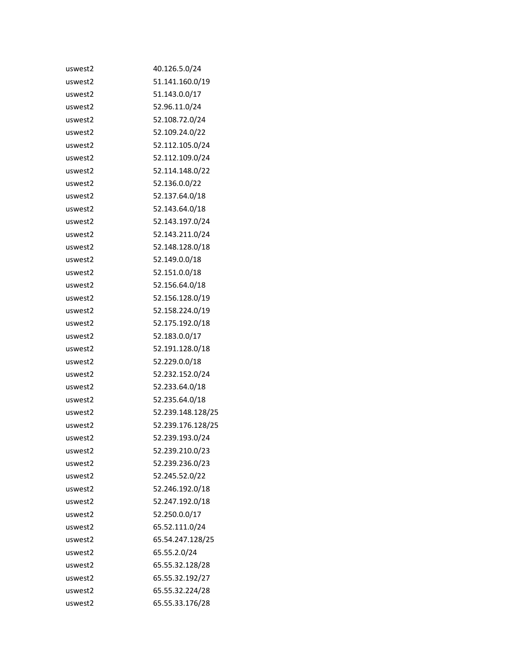| uswest2 | 40.126.5.0/24     |
|---------|-------------------|
| uswest2 | 51.141.160.0/19   |
| uswest2 | 51.143.0.0/17     |
| uswest2 | 52.96.11.0/24     |
| uswest2 | 52.108.72.0/24    |
| uswest2 | 52.109.24.0/22    |
| uswest2 | 52.112.105.0/24   |
| uswest2 | 52.112.109.0/24   |
| uswest2 | 52.114.148.0/22   |
| uswest2 | 52.136.0.0/22     |
| uswest2 | 52.137.64.0/18    |
| uswest2 | 52.143.64.0/18    |
| uswest2 | 52.143.197.0/24   |
| uswest2 | 52.143.211.0/24   |
| uswest2 | 52.148.128.0/18   |
| uswest2 | 52.149.0.0/18     |
| uswest2 | 52.151.0.0/18     |
| uswest2 | 52.156.64.0/18    |
| uswest2 | 52.156.128.0/19   |
| uswest2 | 52.158.224.0/19   |
| uswest2 | 52.175.192.0/18   |
| uswest2 | 52.183.0.0/17     |
| uswest2 | 52.191.128.0/18   |
| uswest2 | 52.229.0.0/18     |
| uswest2 | 52.232.152.0/24   |
| uswest2 | 52.233.64.0/18    |
| uswest2 | 52.235.64.0/18    |
| uswest2 | 52.239.148.128/25 |
| uswest2 | 52.239.176.128/25 |
| uswest2 | 52.239.193.0/24   |
| uswest2 | 52.239.210.0/23   |
| uswest2 | 52.239.236.0/23   |
| uswest2 | 52.245.52.0/22    |
| uswest2 | 52.246.192.0/18   |
| uswest2 | 52.247.192.0/18   |
| uswest2 | 52.250.0.0/17     |
| uswest2 | 65.52.111.0/24    |
| uswest2 | 65.54.247.128/25  |
| uswest2 | 65.55.2.0/24      |
| uswest2 | 65.55.32.128/28   |
| uswest2 | 65.55.32.192/27   |
| uswest2 | 65.55.32.224/28   |
| uswest2 | 65.55.33.176/28   |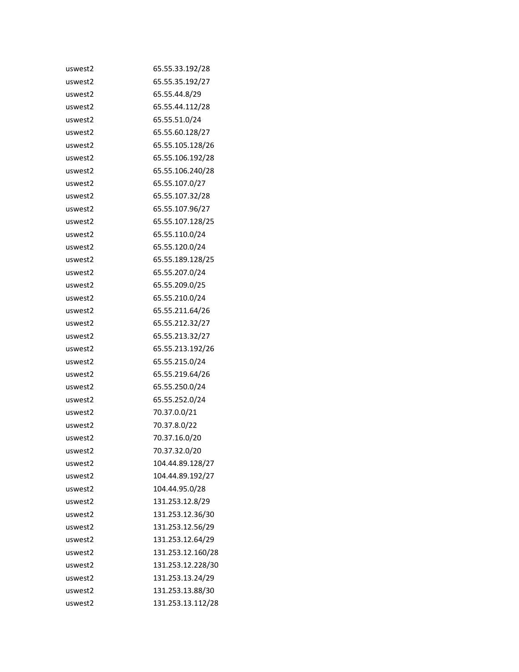| uswest2 | 65.55.33.192/28   |
|---------|-------------------|
| uswest2 | 65.55.35.192/27   |
| uswest2 | 65.55.44.8/29     |
| uswest2 | 65.55.44.112/28   |
| uswest2 | 65.55.51.0/24     |
| uswest2 | 65.55.60.128/27   |
| uswest2 | 65.55.105.128/26  |
| uswest2 | 65.55.106.192/28  |
| uswest2 | 65.55.106.240/28  |
| uswest2 | 65.55.107.0/27    |
| uswest2 | 65.55.107.32/28   |
| uswest2 | 65.55.107.96/27   |
| uswest2 | 65.55.107.128/25  |
| uswest2 | 65.55.110.0/24    |
| uswest2 | 65.55.120.0/24    |
| uswest2 | 65.55.189.128/25  |
| uswest2 | 65.55.207.0/24    |
| uswest2 | 65.55.209.0/25    |
| uswest2 | 65.55.210.0/24    |
| uswest2 | 65.55.211.64/26   |
| uswest2 | 65.55.212.32/27   |
| uswest2 | 65.55.213.32/27   |
| uswest2 | 65.55.213.192/26  |
| uswest2 | 65.55.215.0/24    |
| uswest2 | 65.55.219.64/26   |
| uswest2 | 65.55.250.0/24    |
| uswest2 | 65.55.252.0/24    |
| uswest2 | 70.37.0.0/21      |
| uswest2 | 70.37.8.0/22      |
| uswest2 | 70.37.16.0/20     |
| uswest2 | 70.37.32.0/20     |
| uswest2 | 104.44.89.128/27  |
| uswest2 | 104.44.89.192/27  |
| uswest2 | 104.44.95.0/28    |
| uswest2 | 131.253.12.8/29   |
| uswest2 | 131.253.12.36/30  |
| uswest2 | 131.253.12.56/29  |
| uswest2 | 131.253.12.64/29  |
| uswest2 | 131.253.12.160/28 |
| uswest2 | 131.253.12.228/30 |
| uswest2 | 131.253.13.24/29  |
| uswest2 | 131.253.13.88/30  |
| uswest2 | 131.253.13.112/28 |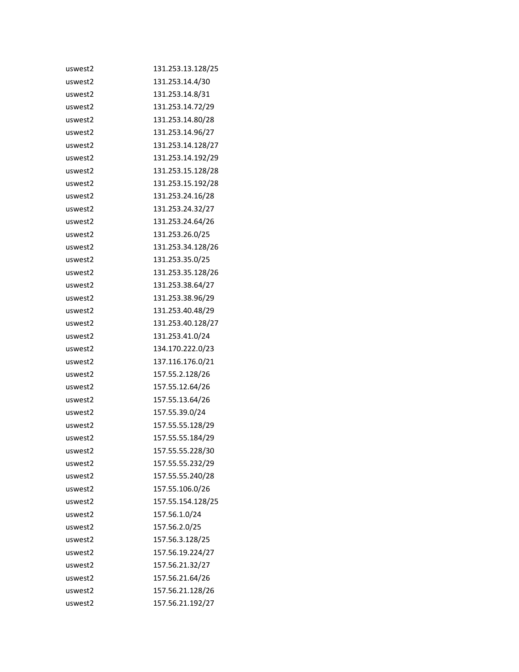| uswest2 | 131.253.13.128/25 |
|---------|-------------------|
| uswest2 | 131.253.14.4/30   |
| uswest2 | 131.253.14.8/31   |
| uswest2 | 131.253.14.72/29  |
| uswest2 | 131.253.14.80/28  |
| uswest2 | 131.253.14.96/27  |
| uswest2 | 131.253.14.128/27 |
| uswest2 | 131.253.14.192/29 |
| uswest2 | 131.253.15.128/28 |
| uswest2 | 131.253.15.192/28 |
| uswest2 | 131.253.24.16/28  |
| uswest2 | 131.253.24.32/27  |
| uswest2 | 131.253.24.64/26  |
| uswest2 | 131.253.26.0/25   |
| uswest2 | 131.253.34.128/26 |
| uswest2 | 131.253.35.0/25   |
| uswest2 | 131.253.35.128/26 |
| uswest2 | 131.253.38.64/27  |
| uswest2 | 131.253.38.96/29  |
| uswest2 | 131.253.40.48/29  |
| uswest2 | 131.253.40.128/27 |
| uswest2 | 131.253.41.0/24   |
| uswest2 | 134.170.222.0/23  |
| uswest2 | 137.116.176.0/21  |
| uswest2 | 157.55.2.128/26   |
| uswest2 | 157.55.12.64/26   |
| uswest2 | 157.55.13.64/26   |
| uswest2 | 157.55.39.0/24    |
| uswest2 | 157.55.55.128/29  |
| uswest2 | 157.55.55.184/29  |
| uswest2 | 157.55.55.228/30  |
| uswest2 | 157.55.55.232/29  |
| uswest2 | 157.55.55.240/28  |
| uswest2 | 157.55.106.0/26   |
| uswest2 | 157.55.154.128/25 |
| uswest2 | 157.56.1.0/24     |
| uswest2 | 157.56.2.0/25     |
| uswest2 | 157.56.3.128/25   |
| uswest2 | 157.56.19.224/27  |
| uswest2 | 157.56.21.32/27   |
| uswest2 | 157.56.21.64/26   |
| uswest2 | 157.56.21.128/26  |
| uswest2 | 157.56.21.192/27  |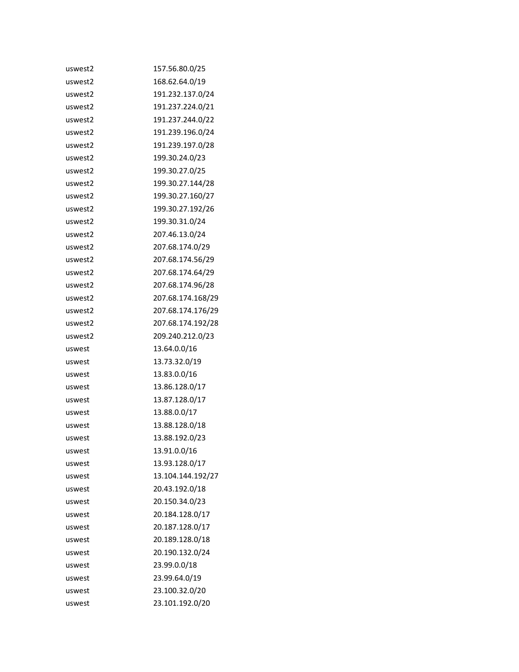| uswest2 | 157.56.80.0/25    |
|---------|-------------------|
| uswest2 | 168.62.64.0/19    |
| uswest2 | 191.232.137.0/24  |
| uswest2 | 191.237.224.0/21  |
| uswest2 | 191.237.244.0/22  |
| uswest2 | 191.239.196.0/24  |
| uswest2 | 191.239.197.0/28  |
| uswest2 | 199.30.24.0/23    |
| uswest2 | 199.30.27.0/25    |
| uswest2 | 199.30.27.144/28  |
| uswest2 | 199.30.27.160/27  |
| uswest2 | 199.30.27.192/26  |
| uswest2 | 199.30.31.0/24    |
| uswest2 | 207.46.13.0/24    |
| uswest2 | 207.68.174.0/29   |
| uswest2 | 207.68.174.56/29  |
| uswest2 | 207.68.174.64/29  |
| uswest2 | 207.68.174.96/28  |
| uswest2 | 207.68.174.168/29 |
| uswest2 | 207.68.174.176/29 |
| uswest2 | 207.68.174.192/28 |
| uswest2 | 209.240.212.0/23  |
| uswest  | 13.64.0.0/16      |
| uswest  | 13.73.32.0/19     |
| uswest  | 13.83.0.0/16      |
| uswest  | 13.86.128.0/17    |
| uswest  | 13.87.128.0/17    |
| uswest  | 13.88.0.0/17      |
| uswest  | 13.88.128.0/18    |
| uswest  | 13.88.192.0/23    |
| uswest  | 13.91.0.0/16      |
| uswest  | 13.93.128.0/17    |
| uswest  | 13.104.144.192/27 |
| uswest  | 20.43.192.0/18    |
| uswest  | 20.150.34.0/23    |
| uswest  | 20.184.128.0/17   |
| uswest  | 20.187.128.0/17   |
| uswest  | 20.189.128.0/18   |
| uswest  | 20.190.132.0/24   |
| uswest  | 23.99.0.0/18      |
| uswest  | 23.99.64.0/19     |
| uswest  | 23.100.32.0/20    |
| uswest  | 23.101.192.0/20   |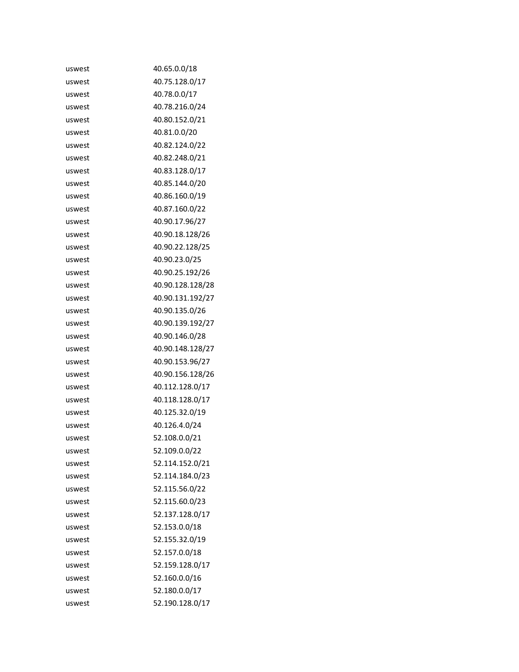| uswest | 40.65.0.0/18     |
|--------|------------------|
| uswest | 40.75.128.0/17   |
| uswest | 40.78.0.0/17     |
| uswest | 40.78.216.0/24   |
| uswest | 40.80.152.0/21   |
| uswest | 40.81.0.0/20     |
| uswest | 40.82.124.0/22   |
| uswest | 40.82.248.0/21   |
| uswest | 40.83.128.0/17   |
| uswest | 40.85.144.0/20   |
| uswest | 40.86.160.0/19   |
| uswest | 40.87.160.0/22   |
| uswest | 40.90.17.96/27   |
| uswest | 40.90.18.128/26  |
| uswest | 40.90.22.128/25  |
| uswest | 40.90.23.0/25    |
| uswest | 40.90.25.192/26  |
| uswest | 40.90.128.128/28 |
| uswest | 40.90.131.192/27 |
| uswest | 40.90.135.0/26   |
| uswest | 40.90.139.192/27 |
| uswest | 40.90.146.0/28   |
| uswest | 40.90.148.128/27 |
| uswest | 40.90.153.96/27  |
| uswest | 40.90.156.128/26 |
| uswest | 40.112.128.0/17  |
| uswest | 40.118.128.0/17  |
| uswest | 40.125.32.0/19   |
| uswest | 40.126.4.0/24    |
| uswest | 52.108.0.0/21    |
| uswest | 52.109.0.0/22    |
| uswest | 52.114.152.0/21  |
| uswest | 52.114.184.0/23  |
| uswest | 52.115.56.0/22   |
| uswest | 52.115.60.0/23   |
| uswest | 52.137.128.0/17  |
| uswest | 52.153.0.0/18    |
| uswest | 52.155.32.0/19   |
| uswest | 52.157.0.0/18    |
| uswest | 52.159.128.0/17  |
| uswest | 52.160.0.0/16    |
| uswest | 52.180.0.0/17    |
| uswest | 52.190.128.0/17  |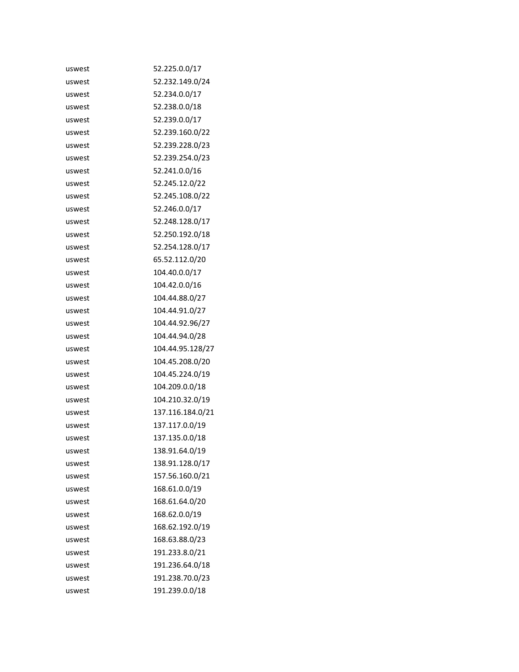| uswest | 52.225.0.0/17    |
|--------|------------------|
| uswest | 52.232.149.0/24  |
| uswest | 52.234.0.0/17    |
| uswest | 52.238.0.0/18    |
| uswest | 52.239.0.0/17    |
| uswest | 52.239.160.0/22  |
| uswest | 52.239.228.0/23  |
| uswest | 52.239.254.0/23  |
| uswest | 52.241.0.0/16    |
| uswest | 52.245.12.0/22   |
| uswest | 52.245.108.0/22  |
| uswest | 52.246.0.0/17    |
| uswest | 52.248.128.0/17  |
| uswest | 52.250.192.0/18  |
| uswest | 52.254.128.0/17  |
| uswest | 65.52.112.0/20   |
| uswest | 104.40.0.0/17    |
| uswest | 104.42.0.0/16    |
| uswest | 104.44.88.0/27   |
| uswest | 104.44.91.0/27   |
| uswest | 104.44.92.96/27  |
| uswest | 104.44.94.0/28   |
| uswest | 104.44.95.128/27 |
| uswest | 104.45.208.0/20  |
| uswest | 104.45.224.0/19  |
| uswest | 104.209.0.0/18   |
| uswest | 104.210.32.0/19  |
| uswest | 137.116.184.0/21 |
| uswest | 137.117.0.0/19   |
| uswest | 137.135.0.0/18   |
| uswest | 138.91.64.0/19   |
| uswest | 138.91.128.0/17  |
| uswest | 157.56.160.0/21  |
| uswest | 168.61.0.0/19    |
| uswest | 168.61.64.0/20   |
| uswest | 168.62.0.0/19    |
| uswest | 168.62.192.0/19  |
| uswest | 168.63.88.0/23   |
| uswest | 191.233.8.0/21   |
| uswest | 191.236.64.0/18  |
| uswest | 191.238.70.0/23  |
| uswest | 191.239.0.0/18   |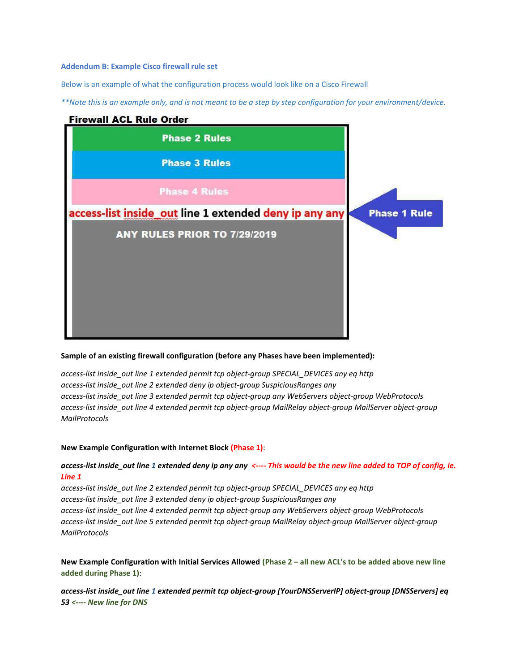#### Addendum B: Example Cisco firewall rule set

Below is an example of what the configuration process would look like on a Cisco Firewall

\*\*Note this is an example only, and is not meant to be a step by step configuration for your environment/device.

## **Firewall ACL Rule Order**



#### Sample of an existing firewall configuration (before any Phases have been implemented):

access-list inside\_out line 1 extended permit tcp object-group SPECIAL\_DEVICES any eq http access-list inside\_out line 2 extended deny ip object-group SuspiciousRanges any access-list inside out line 3 extended permit tcp object-group any WebServers object-group WebProtocols access-list inside\_out line 4 extended permit tcp object-group MailRelay object-group MailServer object-group MailProtocols

#### New Example Configuration with Internet Block (Phase 1):

## access-list inside\_out line 1 extended deny ip any any <---- This would be the new line added to TOP of config, ie. Line 1

access-list inside out line 2 extended permit tcp object-group SPECIAL DEVICES any eq http access-list inside\_out line 3 extended deny ip object-group SuspiciousRanges any access-list inside\_out line 4 extended permit tcp object-group any WebServers object-group WebProtocols access-list inside\_out line 5 extended permit tcp object-group MailRelay object-group MailServer object-group MailProtocols

New Example Configuration with Initial Services Allowed (Phase 2 – all new ACL's to be added above new line added during Phase 1):

access-list inside\_out line 1 extended permit tcp object-group [YourDNSServerIP] object-group [DNSServers] eq 53 <---- New line for DNS